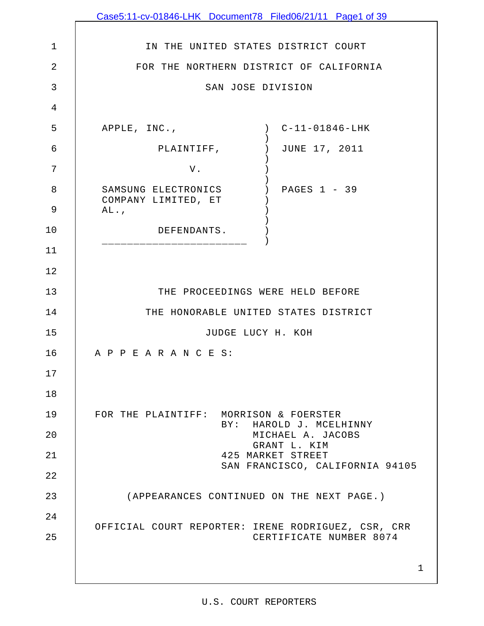|                | Case5:11-cv-01846-LHK Document78 Filed06/21/11 Page1 of 39        |
|----------------|-------------------------------------------------------------------|
|                |                                                                   |
| $\mathbf 1$    | IN THE UNITED STATES DISTRICT COURT                               |
| $\overline{2}$ | FOR THE NORTHERN DISTRICT OF CALIFORNIA                           |
| 3              | SAN JOSE DIVISION                                                 |
| 4              |                                                                   |
| 5              | APPLE, INC.,<br>$C-11-01846-LHK$<br>$\overline{\phantom{a}}$      |
| 6              | JUNE 17, 2011<br>PLAINTIFF,<br>$\left( \right)$                   |
| 7              | V.                                                                |
| 8              | SAMSUNG ELECTRONICS<br>PAGES $1 - 39$<br>COMPANY LIMITED, ET      |
| 9              | AL.                                                               |
| 10             | DEFENDANTS.                                                       |
| 11             |                                                                   |
| 12             |                                                                   |
| 13             | THE PROCEEDINGS WERE HELD BEFORE                                  |
| 14             | THE HONORABLE UNITED STATES DISTRICT                              |
| 15             | JUDGE LUCY H. KOH                                                 |
| 16             | A P P E A R A N C E S:                                            |
| 17             |                                                                   |
| 18             |                                                                   |
| 19             | FOR THE PLAINTIFF: MORRISON & FOERSTER<br>BY: HAROLD J. MCELHINNY |
| 20             | MICHAEL A. JACOBS<br>GRANT L. KIM                                 |
| 21             | 425 MARKET STREET<br>SAN FRANCISCO, CALIFORNIA 94105              |
| 22             |                                                                   |
| 23             | (APPEARANCES CONTINUED ON THE NEXT PAGE.)                         |
| 24             | OFFICIAL COURT REPORTER: IRENE RODRIGUEZ, CSR, CRR                |
| 25             | CERTIFICATE NUMBER 8074                                           |
|                | 1                                                                 |
|                |                                                                   |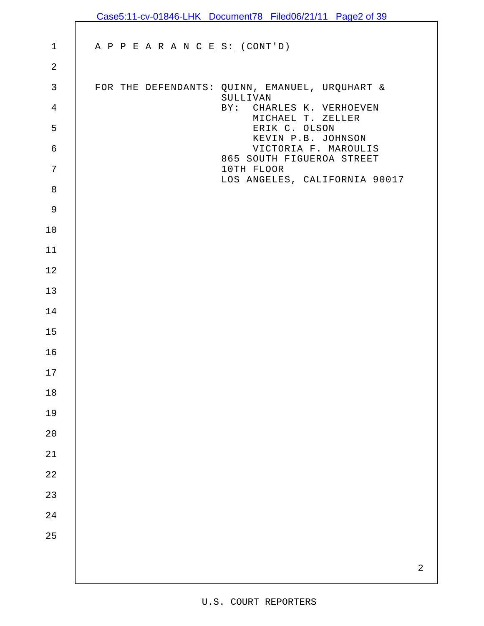|                | Case5:11-cv-01846-LHK Document78 Filed06/21/11 Page2 of 39 |
|----------------|------------------------------------------------------------|
|                |                                                            |
| $\mathbf{1}$   | A P P E A R A N C E S: (CONT'D)                            |
| $\sqrt{2}$     |                                                            |
| $\mathsf{3}$   | FOR THE DEFENDANTS: QUINN, EMANUEL, URQUHART &<br>SULLIVAN |
| $\overline{4}$ | BY: CHARLES K. VERHOEVEN<br>MICHAEL T. ZELLER              |
| 5              | ERIK C. OLSON<br>KEVIN P.B. JOHNSON                        |
| $\epsilon$     | VICTORIA F. MAROULIS<br>865 SOUTH FIGUEROA STREET          |
| 7              | 10TH FLOOR<br>LOS ANGELES, CALIFORNIA 90017                |
| $\,8\,$        |                                                            |
| $\mathsf 9$    |                                                            |
| 10             |                                                            |
| 11             |                                                            |
| 12             |                                                            |
| 13             |                                                            |
| 14             |                                                            |
| 15             |                                                            |
| 16             |                                                            |
| $17$           |                                                            |
| $18\,$         |                                                            |
| 19             |                                                            |
| 20             |                                                            |
| $2\sqrt{1}$    |                                                            |
| $2\sqrt{2}$    |                                                            |
| 23             |                                                            |
| 24             |                                                            |
| 25             |                                                            |
|                | $\overline{2}$                                             |
|                |                                                            |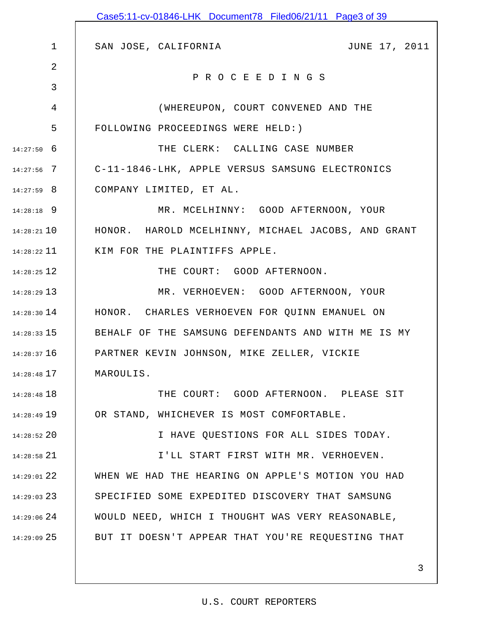|                 | Case5:11-cv-01846-LHK Document78 Filed06/21/11 Page3 of 39 |
|-----------------|------------------------------------------------------------|
|                 |                                                            |
| $\mathbf 1$     | JUNE 17, 2011<br>SAN JOSE, CALIFORNIA                      |
| 2               | PROCEEDINGS                                                |
| 3               |                                                            |
| 4               | (WHEREUPON, COURT CONVENED AND THE                         |
| 5               | FOLLOWING PROCEEDINGS WERE HELD: )                         |
| $14:27:50$ 6    | THE CLERK: CALLING CASE NUMBER                             |
| $14:27:56$ 7    | C-11-1846-LHK, APPLE VERSUS SAMSUNG ELECTRONICS            |
| $14:27:59$ 8    | COMPANY LIMITED, ET AL.                                    |
| $14:28:18$ 9    | MR. MCELHINNY: GOOD AFTERNOON, YOUR                        |
| $14:28:21$ 10   | HONOR. HAROLD MCELHINNY, MICHAEL JACOBS, AND GRANT         |
| $14:28:22$ 11   | KIM FOR THE PLAINTIFFS APPLE.                              |
| $14:28:25$ 12   | THE COURT: GOOD AFTERNOON.                                 |
| $14:28:29$ 13   | MR. VERHOEVEN: GOOD AFTERNOON, YOUR                        |
| $14:28:30$ 14   | HONOR. CHARLES VERHOEVEN FOR QUINN EMANUEL ON              |
| $14:28:33$ 15   | BEHALF OF THE SAMSUNG DEFENDANTS AND WITH ME IS MY         |
| 14:28:37 16     | PARTNER KEVIN JOHNSON, MIKE ZELLER, VICKIE                 |
| $14:28:48$ 17   | MAROULIS.                                                  |
| $14:28:48$ 18   | THE COURT: GOOD AFTERNOON. PLEASE SIT                      |
| $14:28:49$ 19   | OR STAND, WHICHEVER IS MOST COMFORTABLE.                   |
| $14:28:52$ 20   | I HAVE QUESTIONS FOR ALL SIDES TODAY.                      |
| $14:28:58$ 21   | I'LL START FIRST WITH MR. VERHOEVEN.                       |
| $14:29:01$ $22$ | WHEN WE HAD THE HEARING ON APPLE'S MOTION YOU HAD          |
| $14:29:03$ 23   | SPECIFIED SOME EXPEDITED DISCOVERY THAT SAMSUNG            |
| $14:29:06$ 24   | WOULD NEED, WHICH I THOUGHT WAS VERY REASONABLE,           |
| $14:29:09$ 25   | BUT IT DOESN'T APPEAR THAT YOU'RE REQUESTING THAT          |
|                 |                                                            |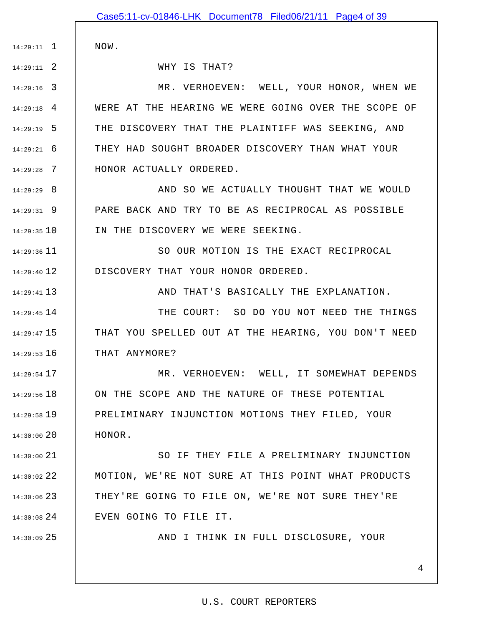|               | Case5:11-cv-01846-LHK Document78 Filed06/21/11 Page4 of 39 |
|---------------|------------------------------------------------------------|
|               |                                                            |
| $14:29:11$ 1  | NOW.                                                       |
| $14:29:11$ 2  | WHY IS THAT?                                               |
| $14:29:16$ 3  | MR. VERHOEVEN: WELL, YOUR HONOR, WHEN WE                   |
| $14:29:18$ 4  | WERE AT THE HEARING WE WERE GOING OVER THE SCOPE OF        |
| $14:29:19$ 5  | THE DISCOVERY THAT THE PLAINTIFF WAS SEEKING, AND          |
| $14:29:21$ 6  | THEY HAD SOUGHT BROADER DISCOVERY THAN WHAT YOUR           |
| $14:29:28$ 7  | HONOR ACTUALLY ORDERED.                                    |
| $14:29:29$ 8  | AND SO WE ACTUALLY THOUGHT THAT WE WOULD                   |
| $14:29:31$ 9  | PARE BACK AND TRY TO BE AS RECIPROCAL AS POSSIBLE          |
| $14:29:35$ 10 | IN THE DISCOVERY WE WERE SEEKING.                          |
| $14:29:36$ 11 | SO OUR MOTION IS THE EXACT RECIPROCAL                      |
| $14:29:40$ 12 | DISCOVERY THAT YOUR HONOR ORDERED.                         |
| $14:29:41$ 13 | AND THAT'S BASICALLY THE EXPLANATION.                      |
| $14:29:45$ 14 | THE COURT: SO DO YOU NOT NEED THE THINGS                   |
| $14:29:47$ 15 | THAT YOU SPELLED OUT AT THE HEARING, YOU DON'T NEED        |
| $14:29:53$ 16 | THAT ANYMORE?                                              |
| $14:29:54$ 17 | MR. VERHOEVEN: WELL, IT SOMEWHAT DEPENDS                   |
| $14:29:56$ 18 | ON THE SCOPE AND THE NATURE OF THESE POTENTIAL             |
| 14:29:58 19   | PRELIMINARY INJUNCTION MOTIONS THEY FILED, YOUR            |
| 14:30:00 20   | HONOR.                                                     |
| 14:30:00 21   | SO IF THEY FILE A PRELIMINARY INJUNCTION                   |
| 14:30:02 22   | MOTION, WE'RE NOT SURE AT THIS POINT WHAT PRODUCTS         |
| $14:30:06$ 23 | THEY'RE GOING TO FILE ON, WE'RE NOT SURE THEY'RE           |
| $14:30:08$ 24 | EVEN GOING TO FILE IT.                                     |
| 14:30:09 25   | AND I THINK IN FULL DISCLOSURE, YOUR                       |
|               |                                                            |
|               | 4                                                          |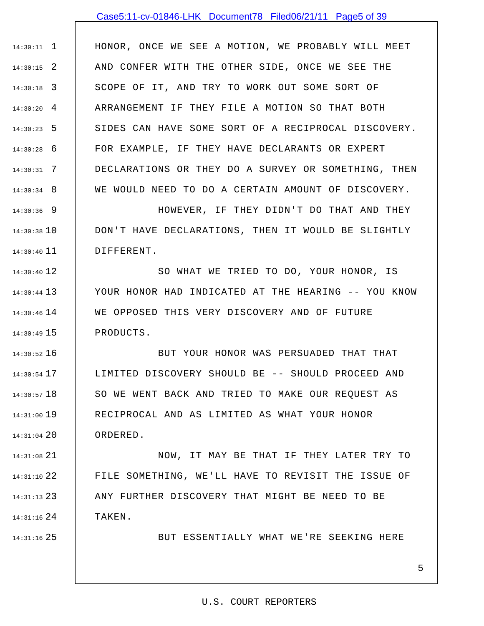## Case5:11-cv-01846-LHK Document78 Filed06/21/11 Page5 of 39

1 14:30:11 2 14:30:15 3 14:30:18 4 14:30:20 5 14:30:23 6 14:30:28 7 14:30:31 8 14:30:34 HONOR, ONCE WE SEE A MOTION, WE PROBABLY WILL MEET AND CONFER WITH THE OTHER SIDE, ONCE WE SEE THE SCOPE OF IT, AND TRY TO WORK OUT SOME SORT OF ARRANGEMENT IF THEY FILE A MOTION SO THAT BOTH SIDES CAN HAVE SOME SORT OF A RECIPROCAL DISCOVERY. FOR EXAMPLE, IF THEY HAVE DECLARANTS OR EXPERT DECLARATIONS OR THEY DO A SURVEY OR SOMETHING, THEN WE WOULD NEED TO DO A CERTAIN AMOUNT OF DISCOVERY.

9 14:30:36 14:30:38 10 11 14:30:40 HOWEVER, IF THEY DIDN'T DO THAT AND THEY DON'T HAVE DECLARATIONS, THEN IT WOULD BE SLIGHTLY DIFFERENT.

12 14:30:40 13 14:30:44 14 14:30:46 15 14:30:49 SO WHAT WE TRIED TO DO, YOUR HONOR, IS YOUR HONOR HAD INDICATED AT THE HEARING -- YOU KNOW WE OPPOSED THIS VERY DISCOVERY AND OF FUTURE PRODUCTS.

16 14:30:52 17 14:30:54 18 14:30:57 19 14:31:00 20 14:31:04 BUT YOUR HONOR WAS PERSUADED THAT THAT LIMITED DISCOVERY SHOULD BE -- SHOULD PROCEED AND SO WE WENT BACK AND TRIED TO MAKE OUR REQUEST AS RECIPROCAL AND AS LIMITED AS WHAT YOUR HONOR ORDERED.

21 14:31:08 22 14:31:10 23 14:31:13 24 14:31:16 NOW, IT MAY BE THAT IF THEY LATER TRY TO FILE SOMETHING, WE'LL HAVE TO REVISIT THE ISSUE OF ANY FURTHER DISCOVERY THAT MIGHT BE NEED TO BE TAKEN.

25 14:31:16

BUT ESSENTIALLY WHAT WE'RE SEEKING HERE

### 5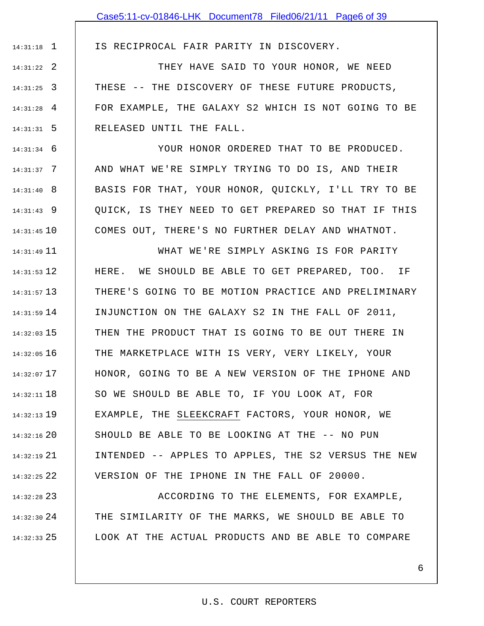1 14:31:18

IS RECIPROCAL FAIR PARITY IN DISCOVERY.

2 14:31:22 3 14:31:25 4 14:31:28 5 14:31:31 THEY HAVE SAID TO YOUR HONOR, WE NEED THESE -- THE DISCOVERY OF THESE FUTURE PRODUCTS, FOR EXAMPLE, THE GALAXY S2 WHICH IS NOT GOING TO BE RELEASED UNTIL THE FALL.

6 14:31:34 7 14:31:37 8 14:31:40 9 14:31:43 10 14:31:45 YOUR HONOR ORDERED THAT TO BE PRODUCED. AND WHAT WE'RE SIMPLY TRYING TO DO IS, AND THEIR BASIS FOR THAT, YOUR HONOR, QUICKLY, I'LL TRY TO BE QUICK, IS THEY NEED TO GET PREPARED SO THAT IF THIS COMES OUT, THERE'S NO FURTHER DELAY AND WHATNOT.

11 14:31:49 12 14:31:53 13 14:31:57 14 14:31:59 15 14:32:03 16 14:32:05 17 14:32:07 18 14:32:11 19 14:32:13 20 14:32:16 21 14:32:19 22 14:32:25 WHAT WE'RE SIMPLY ASKING IS FOR PARITY HERE. WE SHOULD BE ABLE TO GET PREPARED, TOO. IF THERE'S GOING TO BE MOTION PRACTICE AND PRELIMINARY INJUNCTION ON THE GALAXY S2 IN THE FALL OF 2011, THEN THE PRODUCT THAT IS GOING TO BE OUT THERE IN THE MARKETPLACE WITH IS VERY, VERY LIKELY, YOUR HONOR, GOING TO BE A NEW VERSION OF THE IPHONE AND SO WE SHOULD BE ABLE TO, IF YOU LOOK AT, FOR EXAMPLE, THE SLEEKCRAFT FACTORS, YOUR HONOR, WE SHOULD BE ABLE TO BE LOOKING AT THE -- NO PUN INTENDED -- APPLES TO APPLES, THE S2 VERSUS THE NEW VERSION OF THE IPHONE IN THE FALL OF 20000.

23 14:32:28 24 14:32:30 25 14:32:33 ACCORDING TO THE ELEMENTS, FOR EXAMPLE, THE SIMILARITY OF THE MARKS, WE SHOULD BE ABLE TO LOOK AT THE ACTUAL PRODUCTS AND BE ABLE TO COMPARE

# U.S. COURT REPORTERS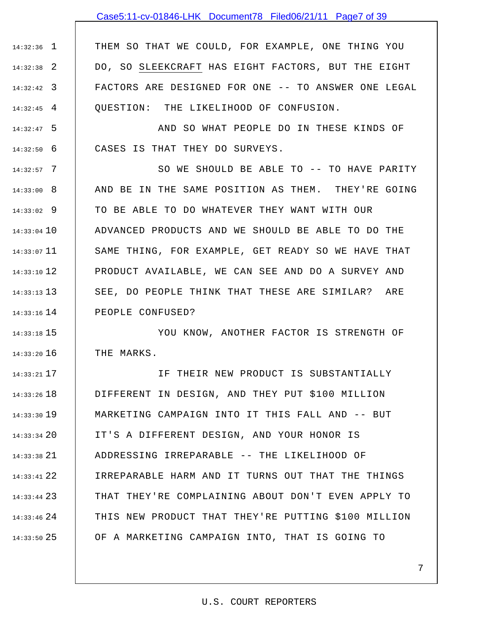## Case5:11-cv-01846-LHK Document78 Filed06/21/11 Page7 of 39

1 14:32:36 2 14:32:38 3 14:32:42 4 14:32:45 THEM SO THAT WE COULD, FOR EXAMPLE, ONE THING YOU DO, SO SLEEKCRAFT HAS EIGHT FACTORS, BUT THE EIGHT FACTORS ARE DESIGNED FOR ONE -- TO ANSWER ONE LEGAL QUESTION: THE LIKELIHOOD OF CONFUSION.

5 14:32:47 6 14:32:50 AND SO WHAT PEOPLE DO IN THESE KINDS OF CASES IS THAT THEY DO SURVEYS.

7 14:32:57 8 14:33:00 9 14:33:02 14:33:04 10 11 14:33:07 12 14:33:10 13 14:33:13 14 14:33:16 SO WE SHOULD BE ABLE TO -- TO HAVE PARITY AND BE IN THE SAME POSITION AS THEM. THEY'RE GOING TO BE ABLE TO DO WHATEVER THEY WANT WITH OUR ADVANCED PRODUCTS AND WE SHOULD BE ABLE TO DO THE SAME THING, FOR EXAMPLE, GET READY SO WE HAVE THAT PRODUCT AVAILABLE, WE CAN SEE AND DO A SURVEY AND SEE, DO PEOPLE THINK THAT THESE ARE SIMILAR? ARE PEOPLE CONFUSED?

15 14:33:18 16 14:33:20 YOU KNOW, ANOTHER FACTOR IS STRENGTH OF THE MARKS.

17 14:33:21 18 14:33:26 19 14:33:30 20 14:33:34 21 14:33:38 22 14:33:41 23 14:33:44 24 14:33:46 25 14:33:50 IF THEIR NEW PRODUCT IS SUBSTANTIALLY DIFFERENT IN DESIGN, AND THEY PUT \$100 MILLION MARKETING CAMPAIGN INTO IT THIS FALL AND -- BUT IT'S A DIFFERENT DESIGN, AND YOUR HONOR IS ADDRESSING IRREPARABLE -- THE LIKELIHOOD OF IRREPARABLE HARM AND IT TURNS OUT THAT THE THINGS THAT THEY'RE COMPLAINING ABOUT DON'T EVEN APPLY TO THIS NEW PRODUCT THAT THEY'RE PUTTING \$100 MILLION OF A MARKETING CAMPAIGN INTO, THAT IS GOING TO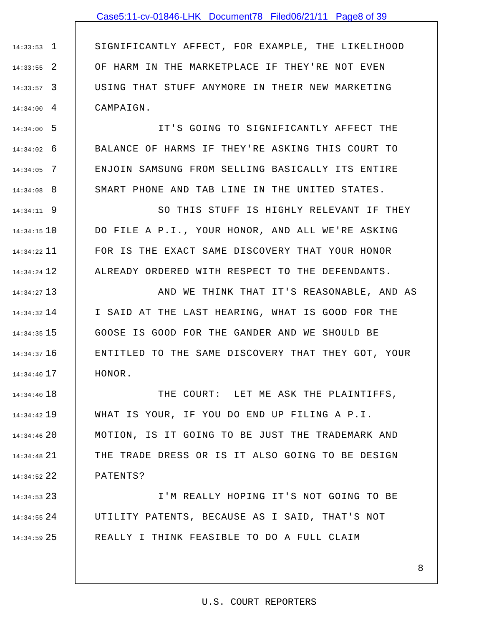## Case5:11-cv-01846-LHK Document78 Filed06/21/11 Page8 of 39

1 14:33:53 2 14:33:55 3 14:33:57 4 14:34:00 SIGNIFICANTLY AFFECT, FOR EXAMPLE, THE LIKELIHOOD OF HARM IN THE MARKETPLACE IF THEY'RE NOT EVEN USING THAT STUFF ANYMORE IN THEIR NEW MARKETING CAMPAIGN.

5 14:34:00 6 14:34:02 7 14:34:05 8 14:34:08 IT'S GOING TO SIGNIFICANTLY AFFECT THE BALANCE OF HARMS IF THEY'RE ASKING THIS COURT TO ENJOIN SAMSUNG FROM SELLING BASICALLY ITS ENTIRE SMART PHONE AND TAB LINE IN THE UNITED STATES.

9 14:34:11 10 14:34:15 11 14:34:22 12 14:34:24 SO THIS STUFF IS HIGHLY RELEVANT IF THEY DO FILE A P.I., YOUR HONOR, AND ALL WE'RE ASKING FOR IS THE EXACT SAME DISCOVERY THAT YOUR HONOR ALREADY ORDERED WITH RESPECT TO THE DEFENDANTS.

13 14:34:27 14 14:34:32 15 14:34:35 16 14:34:37 17 14:34:40 AND WE THINK THAT IT'S REASONABLE, AND AS I SAID AT THE LAST HEARING, WHAT IS GOOD FOR THE GOOSE IS GOOD FOR THE GANDER AND WE SHOULD BE ENTITLED TO THE SAME DISCOVERY THAT THEY GOT, YOUR HONOR.

18 14:34:40 19 14:34:42 20 14:34:46 21 14:34:48 22 14:34:52 THE COURT: LET ME ASK THE PLAINTIFFS, WHAT IS YOUR, IF YOU DO END UP FILING A P.I. MOTION, IS IT GOING TO BE JUST THE TRADEMARK AND THE TRADE DRESS OR IS IT ALSO GOING TO BE DESIGN PATENTS?

23 14:34:53 24 14:34:55 25 14:34:59 I'M REALLY HOPING IT'S NOT GOING TO BE UTILITY PATENTS, BECAUSE AS I SAID, THAT'S NOT REALLY I THINK FEASIBLE TO DO A FULL CLAIM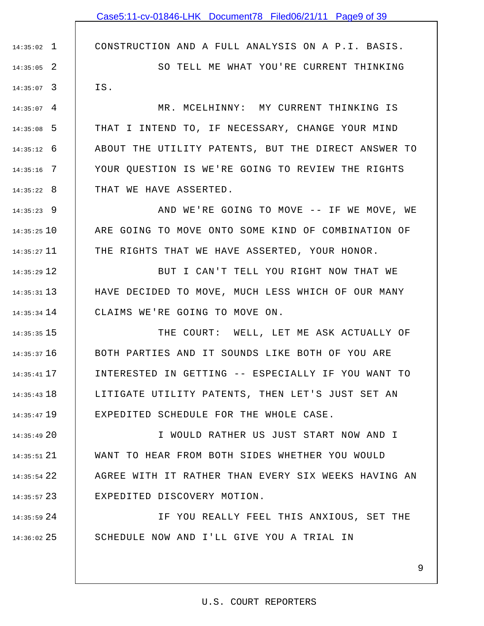CONSTRUCTION AND A FULL ANALYSIS ON A P.I. BASIS.

2 14:35:05 3 14:35:07 SO TELL ME WHAT YOU'RE CURRENT THINKING IS.

1 14:35:02

 $14:35:07$  4 5 14:35:08 6 14:35:12 7 14:35:16 8 14:35:22 MR. MCELHINNY: MY CURRENT THINKING IS THAT I INTEND TO, IF NECESSARY, CHANGE YOUR MIND ABOUT THE UTILITY PATENTS, BUT THE DIRECT ANSWER TO YOUR QUESTION IS WE'RE GOING TO REVIEW THE RIGHTS THAT WE HAVE ASSERTED.

9 14:35:23 10 14:35:25 11 14:35:27 AND WE'RE GOING TO MOVE -- IF WE MOVE, WE ARE GOING TO MOVE ONTO SOME KIND OF COMBINATION OF THE RIGHTS THAT WE HAVE ASSERTED, YOUR HONOR.

12 14:35:29 13 14:35:31 14 14:35:34 BUT I CAN'T TELL YOU RIGHT NOW THAT WE HAVE DECIDED TO MOVE, MUCH LESS WHICH OF OUR MANY CLAIMS WE'RE GOING TO MOVE ON.

15 14:35:35 16 14:35:37 17 14:35:41 18 14:35:43 19 14:35:47 THE COURT: WELL, LET ME ASK ACTUALLY OF BOTH PARTIES AND IT SOUNDS LIKE BOTH OF YOU ARE INTERESTED IN GETTING -- ESPECIALLY IF YOU WANT TO LITIGATE UTILITY PATENTS, THEN LET'S JUST SET AN EXPEDITED SCHEDULE FOR THE WHOLE CASE.

20 14:35:49 21 14:35:51 22 14:35:54 23 14:35:57 I WOULD RATHER US JUST START NOW AND I WANT TO HEAR FROM BOTH SIDES WHETHER YOU WOULD AGREE WITH IT RATHER THAN EVERY SIX WEEKS HAVING AN EXPEDITED DISCOVERY MOTION.

24 14:35:59 25 14:36:02 IF YOU REALLY FEEL THIS ANXIOUS, SET THE SCHEDULE NOW AND I'LL GIVE YOU A TRIAL IN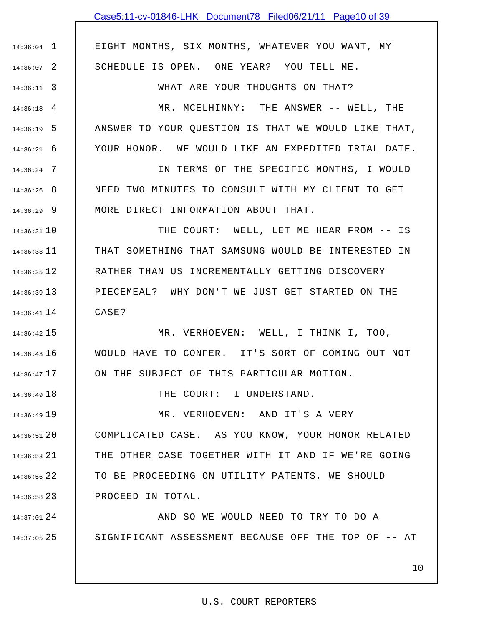# Case5:11-cv-01846-LHK Document78 Filed06/21/11 Page10 of 39

EIGHT MONTHS, SIX MONTHS, WHATEVER YOU WANT, MY SCHEDULE IS OPEN. ONE YEAR? YOU TELL ME.

1 14:36:04

2 14:36:07

3 14:36:11

18 14:36:49

WHAT ARE YOUR THOUGHTS ON THAT?

4 14:36:18 5 14:36:19 6 14:36:21 MR. MCELHINNY: THE ANSWER -- WELL, THE ANSWER TO YOUR QUESTION IS THAT WE WOULD LIKE THAT, YOUR HONOR. WE WOULD LIKE AN EXPEDITED TRIAL DATE.

7 14:36:24 8 14:36:26 9 14:36:29 IN TERMS OF THE SPECIFIC MONTHS, I WOULD NEED TWO MINUTES TO CONSULT WITH MY CLIENT TO GET MORE DIRECT INFORMATION ABOUT THAT.

10 14:36:31 11 14:36:33 12 14:36:35 13 14:36:39 14 14:36:41 THE COURT: WELL, LET ME HEAR FROM -- IS THAT SOMETHING THAT SAMSUNG WOULD BE INTERESTED IN RATHER THAN US INCREMENTALLY GETTING DISCOVERY PIECEMEAL? WHY DON'T WE JUST GET STARTED ON THE CASE?

15 14:36:42 16 14:36:43 17 14:36:47 MR. VERHOEVEN: WELL, I THINK I, TOO, WOULD HAVE TO CONFER. IT'S SORT OF COMING OUT NOT ON THE SUBJECT OF THIS PARTICULAR MOTION.

THE COURT: I UNDERSTAND.

19 14:36:49 20 14:36:51 21 14:36:53 22 14:36:56 23 14:36:58 MR. VERHOEVEN: AND IT'S A VERY COMPLICATED CASE. AS YOU KNOW, YOUR HONOR RELATED THE OTHER CASE TOGETHER WITH IT AND IF WE'RE GOING TO BE PROCEEDING ON UTILITY PATENTS, WE SHOULD PROCEED IN TOTAL.

24 14:37:01 25 14:37:05 AND SO WE WOULD NEED TO TRY TO DO A SIGNIFICANT ASSESSMENT BECAUSE OFF THE TOP OF -- AT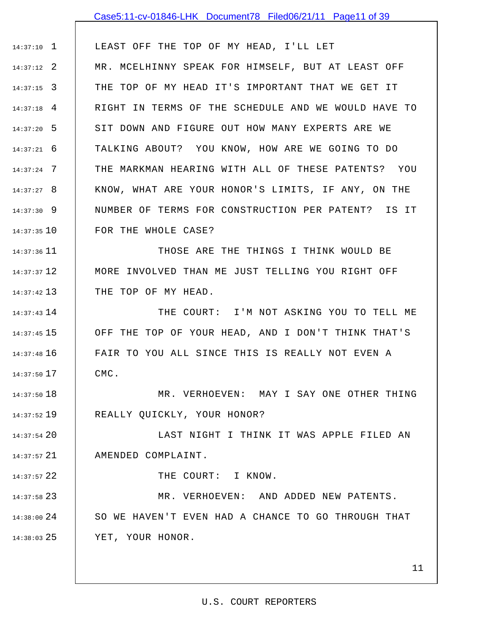# 1 14:37:10 2 14:37:12 3 14:37:15 4 14:37:18 5 14:37:20 6 14:37:21 7 14:37:24 8 14:37:27 9 14:37:30 10 14:37:35 11 14:37:36 12 14:37:37 13 14:37:42 14 14:37:43 15 14:37:45 16 14:37:48 17 14:37:50 18 14:37:50 19 14:37:52 20 14:37:54 LEAST OFF THE TOP OF MY HEAD, I'LL LET MR. MCELHINNY SPEAK FOR HIMSELF, BUT AT LEAST OFF THE TOP OF MY HEAD IT'S IMPORTANT THAT WE GET IT RIGHT IN TERMS OF THE SCHEDULE AND WE WOULD HAVE TO SIT DOWN AND FIGURE OUT HOW MANY EXPERTS ARE WE TALKING ABOUT? YOU KNOW, HOW ARE WE GOING TO DO THE MARKMAN HEARING WITH ALL OF THESE PATENTS? YOU KNOW, WHAT ARE YOUR HONOR'S LIMITS, IF ANY, ON THE NUMBER OF TERMS FOR CONSTRUCTION PER PATENT? IS IT FOR THE WHOLE CASE? THOSE ARE THE THINGS I THINK WOULD BE MORE INVOLVED THAN ME JUST TELLING YOU RIGHT OFF THE TOP OF MY HEAD. THE COURT: I'M NOT ASKING YOU TO TELL ME OFF THE TOP OF YOUR HEAD, AND I DON'T THINK THAT'S FAIR TO YOU ALL SINCE THIS IS REALLY NOT EVEN A CMC. MR. VERHOEVEN: MAY I SAY ONE OTHER THING REALLY QUICKLY, YOUR HONOR? LAST NIGHT I THINK IT WAS APPLE FILED AN Case5:11-cv-01846-LHK Document78 Filed06/21/11 Page11 of 39

21 14:37:57 AMENDED COMPLAINT.

22 14:37:57

23 14:37:58

THE COURT: I KNOW.

24 14:38:00 25 14:38:03 MR. VERHOEVEN: AND ADDED NEW PATENTS. SO WE HAVEN'T EVEN HAD A CHANCE TO GO THROUGH THAT YET, YOUR HONOR.

11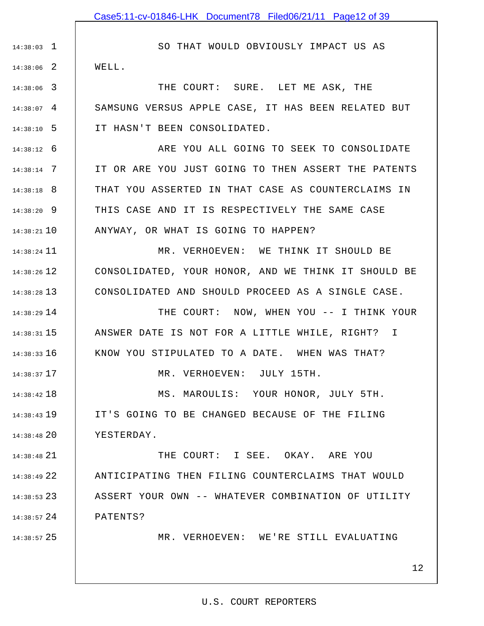1 14:38:03 2 14:38:06 SO THAT WOULD OBVIOUSLY IMPACT US AS WELL.

3 14:38:06 4 14:38:07 5 14:38:10 THE COURT: SURE. LET ME ASK, THE SAMSUNG VERSUS APPLE CASE, IT HAS BEEN RELATED BUT IT HASN'T BEEN CONSOLIDATED.

6 14:38:12 7 14:38:14 8 14:38:18 9 14:38:20 10 14:38:21 ARE YOU ALL GOING TO SEEK TO CONSOLIDATE IT OR ARE YOU JUST GOING TO THEN ASSERT THE PATENTS THAT YOU ASSERTED IN THAT CASE AS COUNTERCLAIMS IN THIS CASE AND IT IS RESPECTIVELY THE SAME CASE ANYWAY, OR WHAT IS GOING TO HAPPEN?

11 14:38:24 12 14:38:26 13 14:38:28 MR. VERHOEVEN: WE THINK IT SHOULD BE CONSOLIDATED, YOUR HONOR, AND WE THINK IT SHOULD BE CONSOLIDATED AND SHOULD PROCEED AS A SINGLE CASE.

14 14:38:29 15 14:38:31 16 14:38:33 THE COURT: NOW, WHEN YOU -- I THINK YOUR ANSWER DATE IS NOT FOR A LITTLE WHILE, RIGHT? I KNOW YOU STIPULATED TO A DATE. WHEN WAS THAT?

MR. VERHOEVEN: JULY 15TH.

18 14:38:42 19 14:38:43 20 14:38:48 MS. MAROULIS: YOUR HONOR, JULY 5TH. IT'S GOING TO BE CHANGED BECAUSE OF THE FILING YESTERDAY.

17 14:38:37

25 14:38:57

21 14:38:48 22 14:38:49 23 14:38:53 24 14:38:57 THE COURT: I SEE. OKAY. ARE YOU ANTICIPATING THEN FILING COUNTERCLAIMS THAT WOULD ASSERT YOUR OWN -- WHATEVER COMBINATION OF UTILITY PATENTS?

MR. VERHOEVEN: WE'RE STILL EVALUATING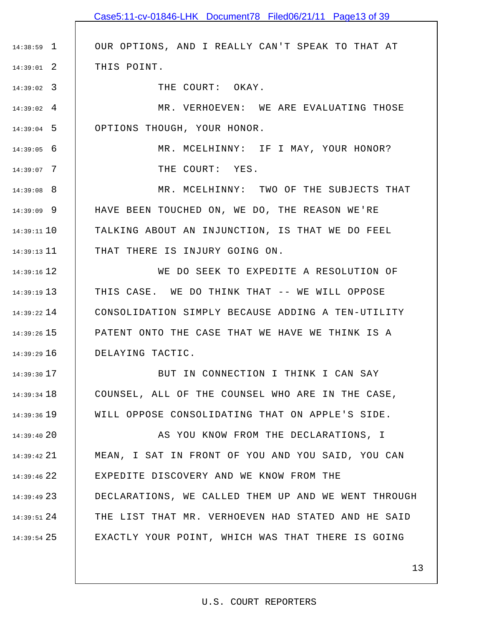|                 | Case5:11-cv-01846-LHK Document78 Filed06/21/11 Page13 of 39 |
|-----------------|-------------------------------------------------------------|
|                 |                                                             |
| $14:38:59$ 1    | OUR OPTIONS, AND I REALLY CAN'T SPEAK TO THAT AT            |
| $14:39:01$ 2    | THIS POINT.                                                 |
| $14:39:02$ 3    | THE COURT: OKAY.                                            |
| $14:39:02$ 4    | MR. VERHOEVEN: WE ARE EVALUATING THOSE                      |
| $14:39:04$ 5    | OPTIONS THOUGH, YOUR HONOR.                                 |
| $14:39:05$ 6    | MR. MCELHINNY: IF I MAY, YOUR HONOR?                        |
| $14:39:07$ 7    | THE COURT: YES.                                             |
| $14:39:08$ 8    | MR. MCELHINNY: TWO OF THE SUBJECTS THAT                     |
| $14:39:09$ 9    | HAVE BEEN TOUCHED ON, WE DO, THE REASON WE'RE               |
| $14:39:11$ 10   | TALKING ABOUT AN INJUNCTION, IS THAT WE DO FEEL             |
| $14:39:13$ 11   | THAT THERE IS INJURY GOING ON.                              |
| $14:39:16$ 12   | WE DO SEEK TO EXPEDITE A RESOLUTION OF                      |
| $14:39:19$ 13   | THIS CASE. WE DO THINK THAT -- WE WILL OPPOSE               |
| $14:39:22$ $14$ | CONSOLIDATION SIMPLY BECAUSE ADDING A TEN-UTILITY           |
| $14:39:26$ 15   | PATENT ONTO THE CASE THAT WE HAVE WE THINK IS A             |
| $14:39:29$ 16   | DELAYING TACTIC.                                            |
| $14:39:30$ 17   | BUT IN CONNECTION I THINK I CAN SAY                         |
| 14:39:34 18     | COUNSEL, ALL OF THE COUNSEL WHO ARE IN THE CASE,            |
| $14:39:36$ 19   | WILL OPPOSE CONSOLIDATING THAT ON APPLE'S SIDE.             |
| 14:39:4020      | AS YOU KNOW FROM THE DECLARATIONS, I                        |
| $14:39:42$ 21   | MEAN, I SAT IN FRONT OF YOU AND YOU SAID, YOU CAN           |
| $14:39:46$ 22   | EXPEDITE DISCOVERY AND WE KNOW FROM THE                     |
| $14:39:49$ 23   | DECLARATIONS, WE CALLED THEM UP AND WE WENT THROUGH         |
| $14:39:51$ 24   | THE LIST THAT MR. VERHOEVEN HAD STATED AND HE SAID          |
| $14:39:54$ 25   | EXACTLY YOUR POINT, WHICH WAS THAT THERE IS GOING           |
|                 |                                                             |
|                 | 13                                                          |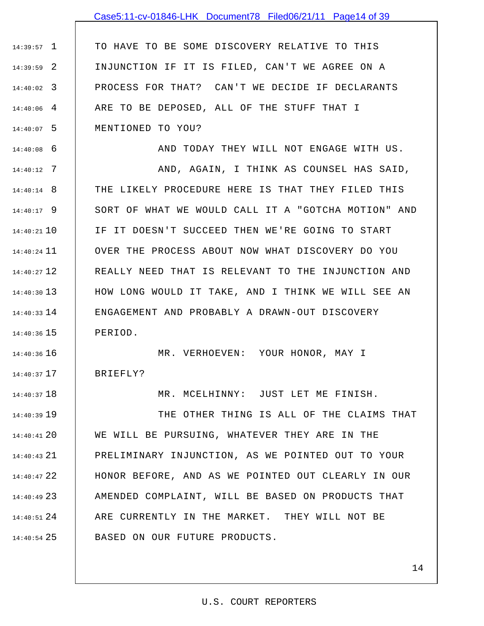## Case5:11-cv-01846-LHK Document78 Filed06/21/11 Page14 of 39

1 14:39:57 2 14:39:59 3 14:40:02 4 14:40:06 5 14:40:07 TO HAVE TO BE SOME DISCOVERY RELATIVE TO THIS INJUNCTION IF IT IS FILED, CAN'T WE AGREE ON A PROCESS FOR THAT? CAN'T WE DECIDE IF DECLARANTS ARE TO BE DEPOSED, ALL OF THE STUFF THAT I MENTIONED TO YOU?

6 14:40:08

18 14:40:37

AND TODAY THEY WILL NOT ENGAGE WITH US.

7 14:40:12 8 14:40:14 9 14:40:17 10 14:40:21 11 14:40:24 12 14:40:27 13 14:40:30 14 14:40:33 15 14:40:36 AND, AGAIN, I THINK AS COUNSEL HAS SAID, THE LIKELY PROCEDURE HERE IS THAT THEY FILED THIS SORT OF WHAT WE WOULD CALL IT A "GOTCHA MOTION" AND IF IT DOESN'T SUCCEED THEN WE'RE GOING TO START OVER THE PROCESS ABOUT NOW WHAT DISCOVERY DO YOU REALLY NEED THAT IS RELEVANT TO THE INJUNCTION AND HOW LONG WOULD IT TAKE, AND I THINK WE WILL SEE AN ENGAGEMENT AND PROBABLY A DRAWN-OUT DISCOVERY PERIOD.

14:40:36 16 17 14:40:37 MR. VERHOEVEN: YOUR HONOR, MAY I BRIEFLY?

MR. MCELHINNY: JUST LET ME FINISH.

19 14:40:39 20 14:40:41 21 14:40:43 22 14:40:47 14:40:49 23 | AMENDED COMPLAINT, WILL BE BASED ON PRODUCTS THAT 24 14:40:51 25 14:40:54 THE OTHER THING IS ALL OF THE CLAIMS THAT WE WILL BE PURSUING, WHATEVER THEY ARE IN THE PRELIMINARY INJUNCTION, AS WE POINTED OUT TO YOUR HONOR BEFORE, AND AS WE POINTED OUT CLEARLY IN OUR ARE CURRENTLY IN THE MARKET. THEY WILL NOT BE BASED ON OUR FUTURE PRODUCTS.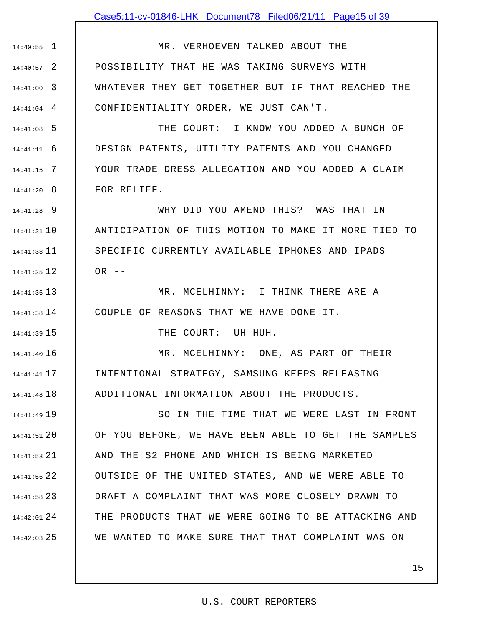## Case5:11-cv-01846-LHK Document78 Filed06/21/11 Page15 of 39

1 14:40:55 2 14:40:57 3 14:41:00 4 14:41:04 MR. VERHOEVEN TALKED ABOUT THE POSSIBILITY THAT HE WAS TAKING SURVEYS WITH WHATEVER THEY GET TOGETHER BUT IF THAT REACHED THE CONFIDENTIALITY ORDER, WE JUST CAN'T.

5 14:41:08 6 14:41:11 7 14:41:15 8 14:41:20 THE COURT: I KNOW YOU ADDED A BUNCH OF DESIGN PATENTS, UTILITY PATENTS AND YOU CHANGED YOUR TRADE DRESS ALLEGATION AND YOU ADDED A CLAIM FOR RELIEF.

9 14:41:28 10 14:41:31 11 14:41:33 12 14:41:35 WHY DID YOU AMEND THIS? WAS THAT IN ANTICIPATION OF THIS MOTION TO MAKE IT MORE TIED TO SPECIFIC CURRENTLY AVAILABLE IPHONES AND IPADS  $OR$  --

13 14:41:36 14 14:41:38 MR. MCELHINNY: I THINK THERE ARE A COUPLE OF REASONS THAT WE HAVE DONE IT.

15 14:41:39

THE COURT: UH-HUH.

16 14:41:40 17 14:41:41 18 14:41:48 MR. MCELHINNY: ONE, AS PART OF THEIR INTENTIONAL STRATEGY, SAMSUNG KEEPS RELEASING ADDITIONAL INFORMATION ABOUT THE PRODUCTS.

19 14:41:49 20 14:41:51 21 14:41:53 22 14:41:56 23 14:41:58 24 14:42:01 25 14:42:03 SO IN THE TIME THAT WE WERE LAST IN FRONT OF YOU BEFORE, WE HAVE BEEN ABLE TO GET THE SAMPLES AND THE S2 PHONE AND WHICH IS BEING MARKETED OUTSIDE OF THE UNITED STATES, AND WE WERE ABLE TO DRAFT A COMPLAINT THAT WAS MORE CLOSELY DRAWN TO THE PRODUCTS THAT WE WERE GOING TO BE ATTACKING AND WE WANTED TO MAKE SURE THAT THAT COMPLAINT WAS ON

#### U.S. COURT REPORTERS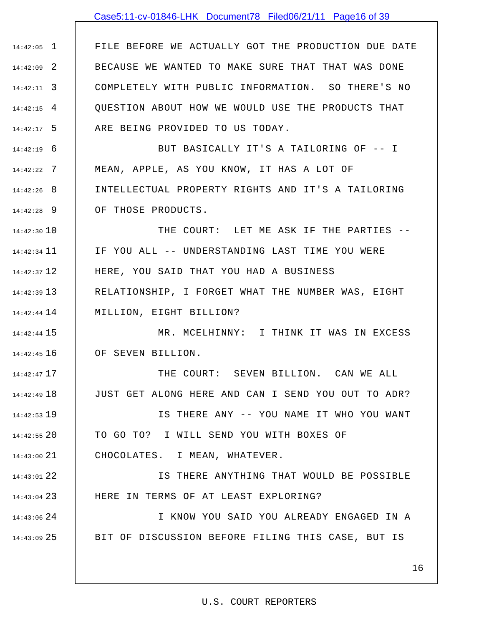## Case5:11-cv-01846-LHK Document78 Filed06/21/11 Page16 of 39

1 14:42:05 2 14:42:09 3 14:42:11 4 14:42:15 5 14:42:17 FILE BEFORE WE ACTUALLY GOT THE PRODUCTION DUE DATE BECAUSE WE WANTED TO MAKE SURE THAT THAT WAS DONE COMPLETELY WITH PUBLIC INFORMATION. SO THERE'S NO QUESTION ABOUT HOW WE WOULD USE THE PRODUCTS THAT ARE BEING PROVIDED TO US TODAY.

6 14:42:19 7 14:42:22 8 14:42:26 9 14:42:28 BUT BASICALLY IT'S A TAILORING OF -- I MEAN, APPLE, AS YOU KNOW, IT HAS A LOT OF INTELLECTUAL PROPERTY RIGHTS AND IT'S A TAILORING OF THOSE PRODUCTS.

14:42:30 10 11 14:42:34 12 14:42:37 13 14:42:39 14 14:42:44 THE COURT: LET ME ASK IF THE PARTIES -- IF YOU ALL -- UNDERSTANDING LAST TIME YOU WERE HERE, YOU SAID THAT YOU HAD A BUSINESS RELATIONSHIP, I FORGET WHAT THE NUMBER WAS, EIGHT MILLION, EIGHT BILLION?

15 14:42:44 16 14:42:45 MR. MCELHINNY: I THINK IT WAS IN EXCESS OF SEVEN BILLION.

17 14:42:47 18 14:42:49 19 14:42:53 THE COURT: SEVEN BILLION. CAN WE ALL JUST GET ALONG HERE AND CAN I SEND YOU OUT TO ADR? IS THERE ANY -- YOU NAME IT WHO YOU WANT

20 14:42:55 21 14:43:00 TO GO TO? I WILL SEND YOU WITH BOXES OF CHOCOLATES. I MEAN, WHATEVER.

22 14:43:01 23 14:43:04 IS THERE ANYTHING THAT WOULD BE POSSIBLE HERE IN TERMS OF AT LEAST EXPLORING?

24 14:43:06 25 14:43:09 I KNOW YOU SAID YOU ALREADY ENGAGED IN A BIT OF DISCUSSION BEFORE FILING THIS CASE, BUT IS

### 16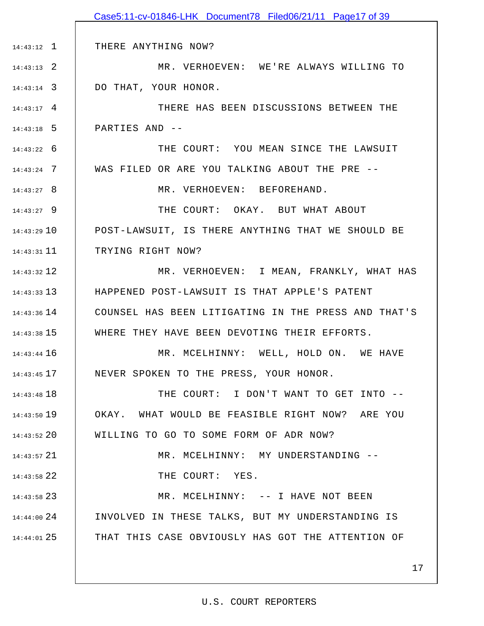|               | Case5:11-cv-01846-LHK Document78 Filed06/21/11 Page17 of 39 |
|---------------|-------------------------------------------------------------|
|               |                                                             |
| $14:43:12$ 1  | THERE ANYTHING NOW?                                         |
| $14:43:13$ 2  | MR. VERHOEVEN: WE'RE ALWAYS WILLING TO                      |
| $14:43:14$ 3  | DO THAT, YOUR HONOR.                                        |
| $14:43:17$ 4  | THERE HAS BEEN DISCUSSIONS BETWEEN THE                      |
| $14:43:18$ 5  | PARTIES AND --                                              |
| $14:43:22$ 6  | THE COURT: YOU MEAN SINCE THE LAWSUIT                       |
| $14:43:24$ 7  | WAS FILED OR ARE YOU TALKING ABOUT THE PRE --               |
| $14:43:27$ 8  | MR. VERHOEVEN: BEFOREHAND.                                  |
| $14:43:27$ 9  | THE COURT: OKAY. BUT WHAT ABOUT                             |
| $14:43:29$ 10 | POST-LAWSUIT, IS THERE ANYTHING THAT WE SHOULD BE           |
| $14:43:31$ 11 | TRYING RIGHT NOW?                                           |
| $14:43:32$ 12 | MR. VERHOEVEN: I MEAN, FRANKLY, WHAT HAS                    |
| $14:43:33$ 13 | HAPPENED POST-LAWSUIT IS THAT APPLE'S PATENT                |
| $14:43:36$ 14 | COUNSEL HAS BEEN LITIGATING IN THE PRESS AND THAT'S         |
| $14:43:38$ 15 | WHERE THEY HAVE BEEN DEVOTING THEIR EFFORTS.                |
| $14:43:44$ 16 | MR. MCELHINNY: WELL, HOLD ON. WE HAVE                       |
| $14:43:45$ 17 | NEVER SPOKEN TO THE PRESS, YOUR HONOR.                      |
| $14:43:48$ 18 | THE COURT: I DON'T WANT TO GET INTO --                      |
| $14:43:50$ 19 | OKAY. WHAT WOULD BE FEASIBLE RIGHT NOW? ARE YOU             |
| $14:43:52$ 20 | WILLING TO GO TO SOME FORM OF ADR NOW?                      |
| $14:43:57$ 21 | MR. MCELHINNY: MY UNDERSTANDING --                          |
| 14:43:58 22   | THE COURT: YES.                                             |
| $14:43:58$ 23 | MR. MCELHINNY: -- I HAVE NOT BEEN                           |
| $14:44:00$ 24 | INVOLVED IN THESE TALKS, BUT MY UNDERSTANDING IS            |
| $14:44:01$ 25 | THAT THIS CASE OBVIOUSLY HAS GOT THE ATTENTION OF           |
|               |                                                             |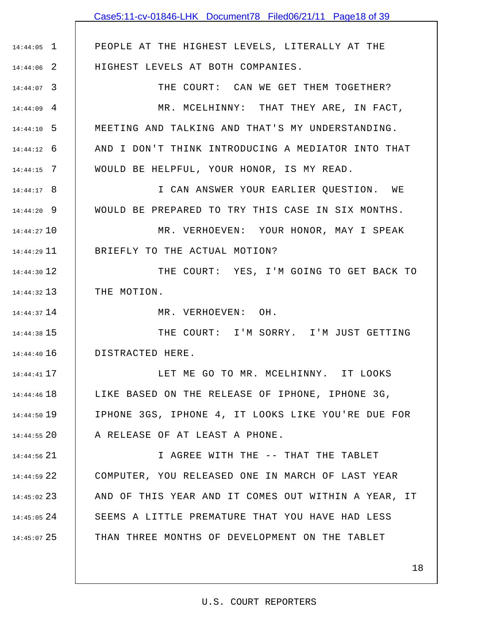|                 | Case5:11-cv-01846-LHK Document78 Filed06/21/11 Page18 of 39 |
|-----------------|-------------------------------------------------------------|
|                 |                                                             |
| $14:44:05$ 1    | PEOPLE AT THE HIGHEST LEVELS, LITERALLY AT THE              |
| $14:44:06$ 2    | HIGHEST LEVELS AT BOTH COMPANIES.                           |
| $14:44:07$ 3    | THE COURT: CAN WE GET THEM TOGETHER?                        |
| $14:44:09$ 4    | MR. MCELHINNY: THAT THEY ARE, IN FACT,                      |
| $14:44:10$ 5    | MEETING AND TALKING AND THAT'S MY UNDERSTANDING.            |
| $14:44:12$ 6    | AND I DON'T THINK INTRODUCING A MEDIATOR INTO THAT          |
| $14:44:15$ 7    | WOULD BE HELPFUL, YOUR HONOR, IS MY READ.                   |
| $14:44:17$ 8    | I CAN ANSWER YOUR EARLIER QUESTION. WE                      |
| $14:44:20$ 9    | WOULD BE PREPARED TO TRY THIS CASE IN SIX MONTHS.           |
| 14:44:27 10     | MR. VERHOEVEN: YOUR HONOR, MAY I SPEAK                      |
| $14:44:29$ $11$ | BRIEFLY TO THE ACTUAL MOTION?                               |
| 14:44:30 12     | THE COURT: YES, I'M GOING TO GET BACK TO                    |
| $14:44:32$ 13   | THE MOTION.                                                 |
| 14:44:37 14     | MR. VERHOEVEN: OH.                                          |
| 14:44:38 15     | THE COURT: I'M SORRY. I'M JUST GETTING                      |
| $14:44:40$ 16   | DISTRACTED HERE.                                            |
| $14:44:41$ 17   | LET ME GO TO MR. MCELHINNY. IT LOOKS                        |
| 14:44:46 18     | LIKE BASED ON THE RELEASE OF IPHONE, IPHONE 3G,             |
| 14:44:50 19     | IPHONE 3GS, IPHONE 4, IT LOOKS LIKE YOU'RE DUE FOR          |
| $14:44:55$ 20   | A RELEASE OF AT LEAST A PHONE.                              |
| 14:44:56 21     | I AGREE WITH THE -- THAT THE TABLET                         |
| 14:44:59 22     | COMPUTER, YOU RELEASED ONE IN MARCH OF LAST YEAR            |
| 14:45:02 23     | AND OF THIS YEAR AND IT COMES OUT WITHIN A YEAR, IT         |
| $14:45:05$ 24   | SEEMS A LITTLE PREMATURE THAT YOU HAVE HAD LESS             |
| $14:45:07$ 25   | THAN THREE MONTHS OF DEVELOPMENT ON THE TABLET              |
|                 |                                                             |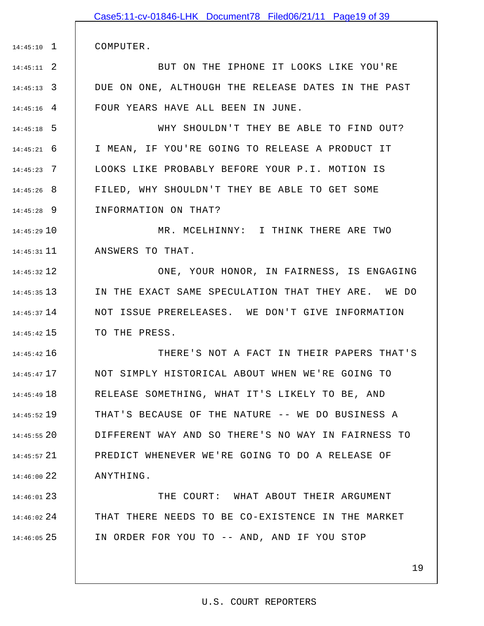COMPUTER.

1 14:45:10

2 14:45:11 3 14:45:13 4 14:45:16 BUT ON THE IPHONE IT LOOKS LIKE YOU'RE DUE ON ONE, ALTHOUGH THE RELEASE DATES IN THE PAST FOUR YEARS HAVE ALL BEEN IN JUNE.

5 14:45:18 6 14:45:21 7 14:45:23 8 14:45:26 9 14:45:28 WHY SHOULDN'T THEY BE ABLE TO FIND OUT? I MEAN, IF YOU'RE GOING TO RELEASE A PRODUCT IT LOOKS LIKE PROBABLY BEFORE YOUR P.I. MOTION IS FILED, WHY SHOULDN'T THEY BE ABLE TO GET SOME INFORMATION ON THAT?

10 14:45:29 11 14:45:31 MR. MCELHINNY: I THINK THERE ARE TWO ANSWERS TO THAT.

12 14:45:32 13 14:45:35 14 14:45:37 15 14:45:42 ONE, YOUR HONOR, IN FAIRNESS, IS ENGAGING IN THE EXACT SAME SPECULATION THAT THEY ARE. WE DO NOT ISSUE PRERELEASES. WE DON'T GIVE INFORMATION TO THE PRESS.

16 14:45:42 17 14:45:47 18 14:45:49 19 14:45:52 20 14:45:55 21 14:45:57 22 14:46:00 THERE'S NOT A FACT IN THEIR PAPERS THAT'S NOT SIMPLY HISTORICAL ABOUT WHEN WE'RE GOING TO RELEASE SOMETHING, WHAT IT'S LIKELY TO BE, AND THAT'S BECAUSE OF THE NATURE -- WE DO BUSINESS A DIFFERENT WAY AND SO THERE'S NO WAY IN FAIRNESS TO PREDICT WHENEVER WE'RE GOING TO DO A RELEASE OF ANYTHING.

23 14:46:01 24 14:46:02 25 14:46:05 THE COURT: WHAT ABOUT THEIR ARGUMENT THAT THERE NEEDS TO BE CO-EXISTENCE IN THE MARKET IN ORDER FOR YOU TO -- AND, AND IF YOU STOP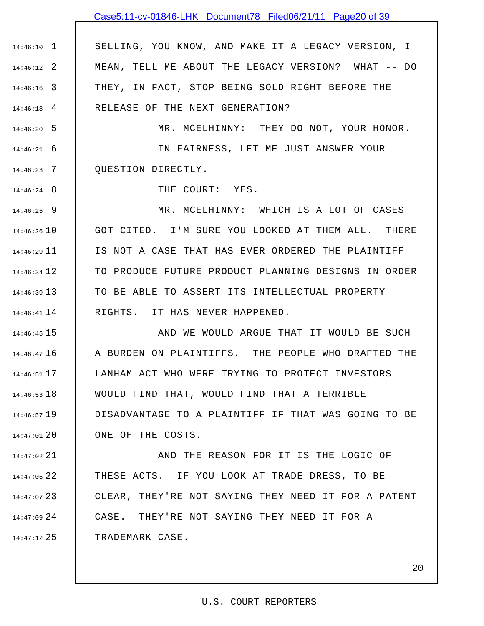## Case5:11-cv-01846-LHK Document78 Filed06/21/11 Page20 of 39

1 14:46:10 2 14:46:12 3 14:46:16 4 14:46:18 SELLING, YOU KNOW, AND MAKE IT A LEGACY VERSION, I MEAN, TELL ME ABOUT THE LEGACY VERSION? WHAT -- DO THEY, IN FACT, STOP BEING SOLD RIGHT BEFORE THE RELEASE OF THE NEXT GENERATION?

5 14:46:20 6 14:46:21 7 14:46:23 MR. MCELHINNY: THEY DO NOT, YOUR HONOR. IN FAIRNESS, LET ME JUST ANSWER YOUR QUESTION DIRECTLY.

THE COURT: YES.

8 14:46:24

9 14:46:25 14:46:26 10 11 14:46:29 12 14:46:34 13 14:46:39 14 14:46:41 MR. MCELHINNY: WHICH IS A LOT OF CASES GOT CITED. I'M SURE YOU LOOKED AT THEM ALL. THERE IS NOT A CASE THAT HAS EVER ORDERED THE PLAINTIFF TO PRODUCE FUTURE PRODUCT PLANNING DESIGNS IN ORDER TO BE ABLE TO ASSERT ITS INTELLECTUAL PROPERTY RIGHTS. IT HAS NEVER HAPPENED.

15 14:46:45 16 14:46:47 17 14:46:51 18 14:46:53 19 14:46:57 20 14:47:01 AND WE WOULD ARGUE THAT IT WOULD BE SUCH A BURDEN ON PLAINTIFFS. THE PEOPLE WHO DRAFTED THE LANHAM ACT WHO WERE TRYING TO PROTECT INVESTORS WOULD FIND THAT, WOULD FIND THAT A TERRIBLE DISADVANTAGE TO A PLAINTIFF IF THAT WAS GOING TO BE ONE OF THE COSTS.

21 14:47:02 22 14:47:05 23 14:47:07 24 14:47:09 25 14:47:12 AND THE REASON FOR IT IS THE LOGIC OF THESE ACTS. IF YOU LOOK AT TRADE DRESS, TO BE CLEAR, THEY'RE NOT SAYING THEY NEED IT FOR A PATENT CASE. THEY'RE NOT SAYING THEY NEED IT FOR A TRADEMARK CASE.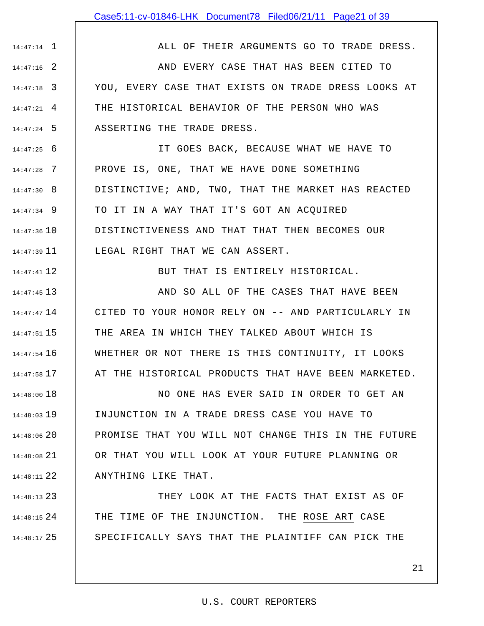### Case5:11-cv-01846-LHK Document78 Filed06/21/11 Page21 of 39

ALL OF THEIR ARGUMENTS GO TO TRADE DRESS.

1 14:47:14

12 14:47:41

2 14:47:16 3 14:47:18 4 14:47:21 5 14:47:24 AND EVERY CASE THAT HAS BEEN CITED TO YOU, EVERY CASE THAT EXISTS ON TRADE DRESS LOOKS AT THE HISTORICAL BEHAVIOR OF THE PERSON WHO WAS ASSERTING THE TRADE DRESS.

6 14:47:25 7 14:47:28 8 14:47:30 9 14:47:34 14:47:36 10 11 14:47:39 IT GOES BACK, BECAUSE WHAT WE HAVE TO PROVE IS, ONE, THAT WE HAVE DONE SOMETHING DISTINCTIVE; AND, TWO, THAT THE MARKET HAS REACTED TO IT IN A WAY THAT IT'S GOT AN ACQUIRED DISTINCTIVENESS AND THAT THAT THEN BECOMES OUR LEGAL RIGHT THAT WE CAN ASSERT.

BUT THAT IS ENTIRELY HISTORICAL.

13 14:47:45 14 14:47:47 15 14:47:51 16 14:47:54 17 14:47:58 AND SO ALL OF THE CASES THAT HAVE BEEN CITED TO YOUR HONOR RELY ON -- AND PARTICULARLY IN THE AREA IN WHICH THEY TALKED ABOUT WHICH IS WHETHER OR NOT THERE IS THIS CONTINUITY, IT LOOKS AT THE HISTORICAL PRODUCTS THAT HAVE BEEN MARKETED.

18 14:48:00 19 14:48:03 14:48:06 20 21 14:48:08 22 14:48:11 NO ONE HAS EVER SAID IN ORDER TO GET AN INJUNCTION IN A TRADE DRESS CASE YOU HAVE TO PROMISE THAT YOU WILL NOT CHANGE THIS IN THE FUTURE OR THAT YOU WILL LOOK AT YOUR FUTURE PLANNING OR ANYTHING LIKE THAT.

23 14:48:13 24 14:48:15 25 14:48:17 THEY LOOK AT THE FACTS THAT EXIST AS OF THE TIME OF THE INJUNCTION. THE ROSE ART CASE SPECIFICALLY SAYS THAT THE PLAINTIFF CAN PICK THE

### 21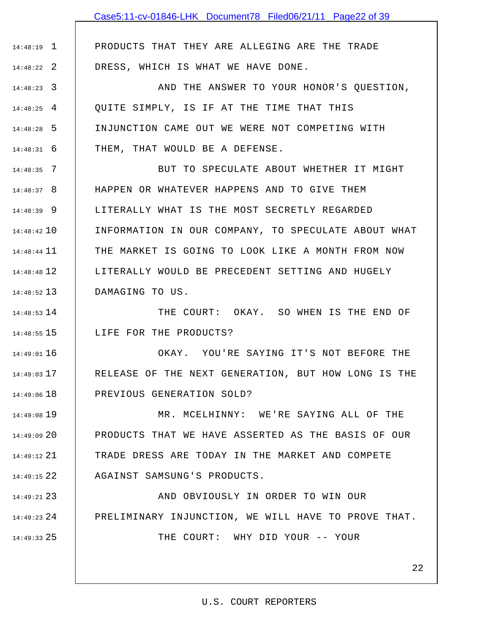PRODUCTS THAT THEY ARE ALLEGING ARE THE TRADE

1 14:48:19

2 14:48:22

DRESS, WHICH IS WHAT WE HAVE DONE.

3 14:48:23 4 14:48:25 5 14:48:28 6 14:48:31 AND THE ANSWER TO YOUR HONOR'S QUESTION, QUITE SIMPLY, IS IF AT THE TIME THAT THIS INJUNCTION CAME OUT WE WERE NOT COMPETING WITH THEM, THAT WOULD BE A DEFENSE.

7 14:48:35 8 14:48:37 9 14:48:39 10 14:48:42 11 14:48:44 12 14:48:48 13 14:48:52 BUT TO SPECULATE ABOUT WHETHER IT MIGHT HAPPEN OR WHATEVER HAPPENS AND TO GIVE THEM LITERALLY WHAT IS THE MOST SECRETLY REGARDED INFORMATION IN OUR COMPANY, TO SPECULATE ABOUT WHAT THE MARKET IS GOING TO LOOK LIKE A MONTH FROM NOW LITERALLY WOULD BE PRECEDENT SETTING AND HUGELY DAMAGING TO US.

14 14:48:53 15 14:48:55 THE COURT: OKAY. SO WHEN IS THE END OF LIFE FOR THE PRODUCTS?

16 14:49:01 17 14:49:03 18 14:49:06 OKAY. YOU'RE SAYING IT'S NOT BEFORE THE RELEASE OF THE NEXT GENERATION, BUT HOW LONG IS THE PREVIOUS GENERATION SOLD?

19 14:49:08 20 14:49:09 21 14:49:12 22 14:49:15 MR. MCELHINNY: WE'RE SAYING ALL OF THE PRODUCTS THAT WE HAVE ASSERTED AS THE BASIS OF OUR TRADE DRESS ARE TODAY IN THE MARKET AND COMPETE AGAINST SAMSUNG'S PRODUCTS.

23 14:49:21 24 14:49:23 25 14:49:33 AND OBVIOUSLY IN ORDER TO WIN OUR PRELIMINARY INJUNCTION, WE WILL HAVE TO PROVE THAT. THE COURT: WHY DID YOUR -- YOUR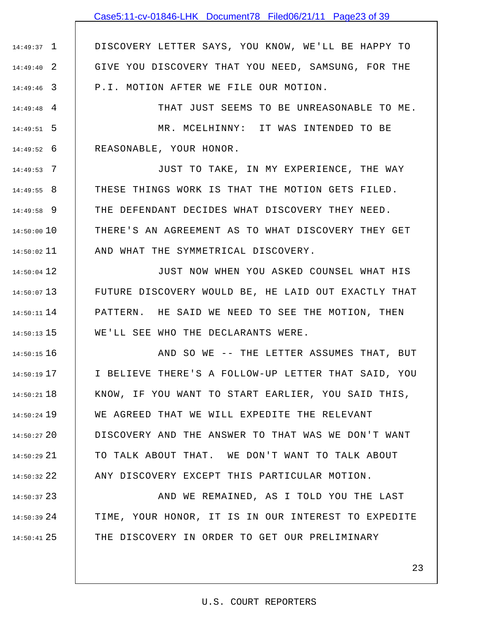## Case5:11-cv-01846-LHK Document78 Filed06/21/11 Page23 of 39

1 14:49:37 2 14:49:40 3 14:49:46 DISCOVERY LETTER SAYS, YOU KNOW, WE'LL BE HAPPY TO GIVE YOU DISCOVERY THAT YOU NEED, SAMSUNG, FOR THE P.I. MOTION AFTER WE FILE OUR MOTION.

4 14:49:48 5 14:49:51 6 14:49:52 THAT JUST SEEMS TO BE UNREASONABLE TO ME. MR. MCELHINNY: IT WAS INTENDED TO BE REASONABLE, YOUR HONOR.

7 14:49:53 8 14:49:55 9 14:49:58 14:50:00 10 11 14:50:02 JUST TO TAKE, IN MY EXPERIENCE, THE WAY THESE THINGS WORK IS THAT THE MOTION GETS FILED. THE DEFENDANT DECIDES WHAT DISCOVERY THEY NEED. THERE'S AN AGREEMENT AS TO WHAT DISCOVERY THEY GET AND WHAT THE SYMMETRICAL DISCOVERY.

12 14:50:04 13 14:50:07 14 14:50:11 15 14:50:13 JUST NOW WHEN YOU ASKED COUNSEL WHAT HIS FUTURE DISCOVERY WOULD BE, HE LAID OUT EXACTLY THAT PATTERN. HE SAID WE NEED TO SEE THE MOTION, THEN WE'LL SEE WHO THE DECLARANTS WERE.

16 14:50:15 17 14:50:19 18 14:50:21 19 14:50:24 20 14:50:27 21 14:50:29 22 14:50:32 AND SO WE -- THE LETTER ASSUMES THAT, BUT I BELIEVE THERE'S A FOLLOW-UP LETTER THAT SAID, YOU KNOW, IF YOU WANT TO START EARLIER, YOU SAID THIS, WE AGREED THAT WE WILL EXPEDITE THE RELEVANT DISCOVERY AND THE ANSWER TO THAT WAS WE DON'T WANT TO TALK ABOUT THAT. WE DON'T WANT TO TALK ABOUT ANY DISCOVERY EXCEPT THIS PARTICULAR MOTION.

23 14:50:37 24 14:50:39 25 14:50:41 AND WE REMAINED, AS I TOLD YOU THE LAST TIME, YOUR HONOR, IT IS IN OUR INTEREST TO EXPEDITE THE DISCOVERY IN ORDER TO GET OUR PRELIMINARY

23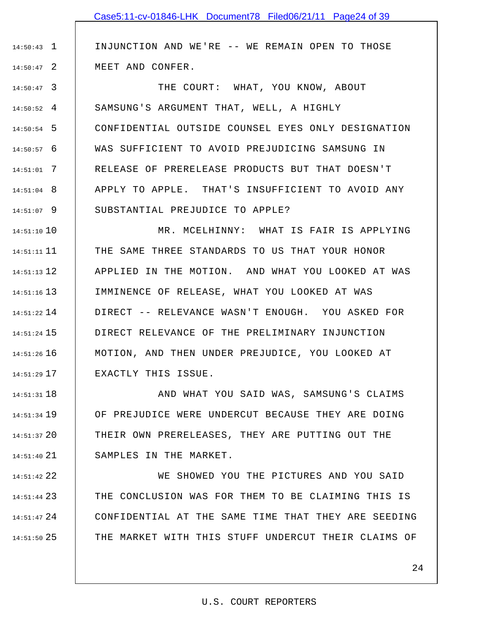INJUNCTION AND WE'RE -- WE REMAIN OPEN TO THOSE MEET AND CONFER.

1 14:50:43

2 14:50:47

3 14:50:47 4 14:50:52 5 14:50:54 6 14:50:57 7 14:51:01 8 14:51:04 9 14:51:07 THE COURT: WHAT, YOU KNOW, ABOUT SAMSUNG'S ARGUMENT THAT, WELL, A HIGHLY CONFIDENTIAL OUTSIDE COUNSEL EYES ONLY DESIGNATION WAS SUFFICIENT TO AVOID PREJUDICING SAMSUNG IN RELEASE OF PRERELEASE PRODUCTS BUT THAT DOESN'T APPLY TO APPLE. THAT'S INSUFFICIENT TO AVOID ANY SUBSTANTIAL PREJUDICE TO APPLE?

10 14:51:10 11 14:51:11 12 14:51:13 13 14:51:16 14 14:51:22 15 14:51:24 16 14:51:26 17 14:51:29 MR. MCELHINNY: WHAT IS FAIR IS APPLYING THE SAME THREE STANDARDS TO US THAT YOUR HONOR APPLIED IN THE MOTION. AND WHAT YOU LOOKED AT WAS IMMINENCE OF RELEASE, WHAT YOU LOOKED AT WAS DIRECT -- RELEVANCE WASN'T ENOUGH. YOU ASKED FOR DIRECT RELEVANCE OF THE PRELIMINARY INJUNCTION MOTION, AND THEN UNDER PREJUDICE, YOU LOOKED AT EXACTLY THIS ISSUE.

18 14:51:31 19 14:51:34 20 14:51:37 21 14:51:40 AND WHAT YOU SAID WAS, SAMSUNG'S CLAIMS OF PREJUDICE WERE UNDERCUT BECAUSE THEY ARE DOING THEIR OWN PRERELEASES, THEY ARE PUTTING OUT THE SAMPLES IN THE MARKET.

22 14:51:42 23 14:51:44 24 14:51:47 25 14:51:50 WE SHOWED YOU THE PICTURES AND YOU SAID THE CONCLUSION WAS FOR THEM TO BE CLAIMING THIS IS CONFIDENTIAL AT THE SAME TIME THAT THEY ARE SEEDING THE MARKET WITH THIS STUFF UNDERCUT THEIR CLAIMS OF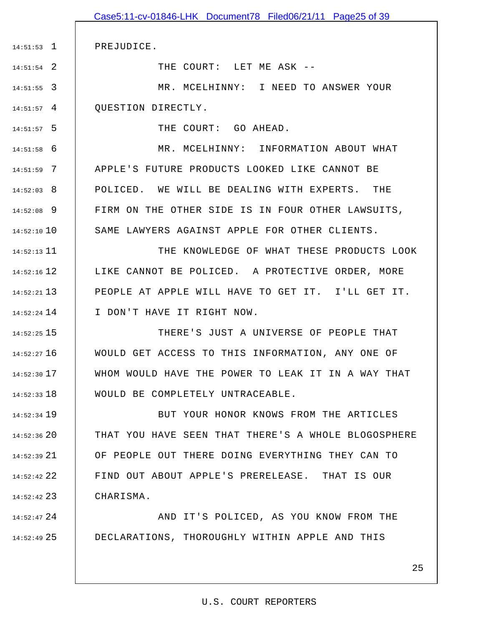|                 | Case5:11-cv-01846-LHK Document78 Filed06/21/11 Page25 of 39 |
|-----------------|-------------------------------------------------------------|
|                 |                                                             |
| $14:51:53$ 1    | PREJUDICE.                                                  |
| $14:51:54$ 2    | THE COURT: LET ME ASK --                                    |
| $14:51:55$ 3    | MR. MCELHINNY: I NEED TO ANSWER YOUR                        |
| $14:51:57$ 4    | OUESTION DIRECTLY.                                          |
| $14:51:57$ 5    | THE COURT: GO AHEAD.                                        |
| $14:51:58$ 6    | MR. MCELHINNY: INFORMATION ABOUT WHAT                       |
| $14:51:59$ 7    | APPLE'S FUTURE PRODUCTS LOOKED LIKE CANNOT BE               |
| $14:52:03$ 8    | POLICED. WE WILL BE DEALING WITH EXPERTS. THE               |
| $14:52:08$ 9    | FIRM ON THE OTHER SIDE IS IN FOUR OTHER LAWSUITS,           |
| $14:52:10$ 10   | SAME LAWYERS AGAINST APPLE FOR OTHER CLIENTS.               |
| $14:52:13$ 11   | THE KNOWLEDGE OF WHAT THESE PRODUCTS LOOK                   |
| $14:52:16$ 12   | LIKE CANNOT BE POLICED. A PROTECTIVE ORDER, MORE            |
| $14:52:21$ 13   | PEOPLE AT APPLE WILL HAVE TO GET IT. I'LL GET IT.           |
| $14:52:24$ 14   | I DON'T HAVE IT RIGHT NOW.                                  |
| $14:52:25$ 15   | THERE'S JUST A UNIVERSE OF PEOPLE THAT                      |
| $14:52:27$ 16   | WOULD GET ACCESS TO THIS INFORMATION, ANY ONE OF            |
| $14:52:30$ 17   | WHOM WOULD HAVE THE POWER TO LEAK IT IN A WAY THAT          |
| $14:52:33$ 18   | WOULD BE COMPLETELY UNTRACEABLE.                            |
| 14:52:34 19     | BUT YOUR HONOR KNOWS FROM THE ARTICLES                      |
| $14:52:36$ 20   | THAT YOU HAVE SEEN THAT THERE'S A WHOLE BLOGOSPHERE         |
| $14:52:39$ $21$ | OF PEOPLE OUT THERE DOING EVERYTHING THEY CAN TO            |
| $14:52:42$ 22   | FIND OUT ABOUT APPLE'S PRERELEASE. THAT IS OUR              |
| $14:52:42$ 23   | CHARISMA.                                                   |
| $14:52:47$ 24   | AND IT'S POLICED, AS YOU KNOW FROM THE                      |
| $14:52:49$ 25   | DECLARATIONS, THOROUGHLY WITHIN APPLE AND THIS              |
|                 |                                                             |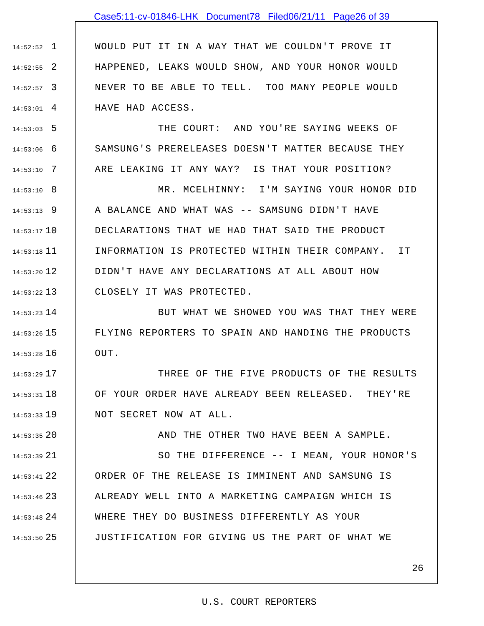## Case5:11-cv-01846-LHK Document78 Filed06/21/11 Page26 of 39

1 14:52:52 2 14:52:55 3 14:52:57 4 14:53:01 WOULD PUT IT IN A WAY THAT WE COULDN'T PROVE IT HAPPENED, LEAKS WOULD SHOW, AND YOUR HONOR WOULD NEVER TO BE ABLE TO TELL. TOO MANY PEOPLE WOULD HAVE HAD ACCESS.

5 14:53:03

6 14:53:06

7 14:53:10

THE COURT: AND YOU'RE SAYING WEEKS OF SAMSUNG'S PRERELEASES DOESN'T MATTER BECAUSE THEY ARE LEAKING IT ANY WAY? IS THAT YOUR POSITION?

8 14:53:10 9 14:53:13 10 14:53:17 11 14:53:18 12 14:53:20 13 14:53:22 MR. MCELHINNY: I'M SAYING YOUR HONOR DID A BALANCE AND WHAT WAS -- SAMSUNG DIDN'T HAVE DECLARATIONS THAT WE HAD THAT SAID THE PRODUCT INFORMATION IS PROTECTED WITHIN THEIR COMPANY. IT DIDN'T HAVE ANY DECLARATIONS AT ALL ABOUT HOW CLOSELY IT WAS PROTECTED.

14 14:53:23 15 14:53:26 16 14:53:28 BUT WHAT WE SHOWED YOU WAS THAT THEY WERE FLYING REPORTERS TO SPAIN AND HANDING THE PRODUCTS OUT.

17 14:53:29 18 14:53:31 19 14:53:33 THREE OF THE FIVE PRODUCTS OF THE RESULTS OF YOUR ORDER HAVE ALREADY BEEN RELEASED. THEY'RE NOT SECRET NOW AT ALL.

20 14:53:35 21 14:53:39 22 14:53:41 23 14:53:46 24 14:53:48 25 14:53:50 AND THE OTHER TWO HAVE BEEN A SAMPLE. SO THE DIFFERENCE -- I MEAN, YOUR HONOR'S ORDER OF THE RELEASE IS IMMINENT AND SAMSUNG IS ALREADY WELL INTO A MARKETING CAMPAIGN WHICH IS WHERE THEY DO BUSINESS DIFFERENTLY AS YOUR JUSTIFICATION FOR GIVING US THE PART OF WHAT WE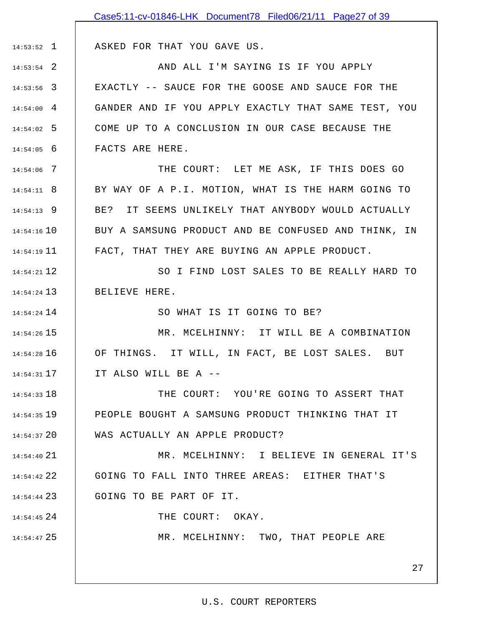|               | Case5:11-cv-01846-LHK Document78 Filed06/21/11 Page27 of 39 |
|---------------|-------------------------------------------------------------|
|               |                                                             |
| $14:53:52$ 1  | ASKED FOR THAT YOU GAVE US.                                 |
| $14:53:54$ 2  | AND ALL I'M SAYING IS IF YOU APPLY                          |
| $14:53:56$ 3  | EXACTLY -- SAUCE FOR THE GOOSE AND SAUCE FOR THE            |
| $14:54:00$ 4  | GANDER AND IF YOU APPLY EXACTLY THAT SAME TEST, YOU         |
| $14:54:02$ 5  | COME UP TO A CONCLUSION IN OUR CASE BECAUSE THE             |
| $14:54:05$ 6  | FACTS ARE HERE.                                             |
| $14:54:06$ 7  | THE COURT: LET ME ASK, IF THIS DOES GO                      |
| $14:54:11$ 8  | BY WAY OF A P.I. MOTION, WHAT IS THE HARM GOING TO          |
| $14:54:13$ 9  | IT SEEMS UNLIKELY THAT ANYBODY WOULD ACTUALLY<br>BE?        |
| $14:54:16$ 10 | BUY A SAMSUNG PRODUCT AND BE CONFUSED AND THINK, IN         |
| $14:54:19$ 11 | FACT, THAT THEY ARE BUYING AN APPLE PRODUCT.                |
| $14:54:21$ 12 | SO I FIND LOST SALES TO BE REALLY HARD TO                   |
| $14:54:24$ 13 | BELIEVE HERE.                                               |
| $14:54:24$ 14 | SO WHAT IS IT GOING TO BE?                                  |
| $14:54:26$ 15 | MR. MCELHINNY: IT WILL BE A COMBINATION                     |
| $14:54:28$ 16 | OF THINGS. IT WILL, IN FACT, BE LOST SALES. BUT             |
| $14:54:31$ 17 | IT ALSO WILL BE A --                                        |
| $14:54:33$ 18 | THE COURT: YOU'RE GOING TO ASSERT THAT                      |
| $14:54:35$ 19 | PEOPLE BOUGHT A SAMSUNG PRODUCT THINKING THAT IT            |
| $14:54:37$ 20 | WAS ACTUALLY AN APPLE PRODUCT?                              |
| $14:54:40$ 21 | MR. MCELHINNY: I BELIEVE IN GENERAL IT'S                    |
| $14:54:42$ 22 | GOING TO FALL INTO THREE AREAS: EITHER THAT'S               |
| $14:54:44$ 23 | GOING TO BE PART OF IT.                                     |
| $14:54:45$ 24 | THE COURT: OKAY.                                            |
| 14:54:47 25   | MR. MCELHINNY: TWO, THAT PEOPLE ARE                         |
|               |                                                             |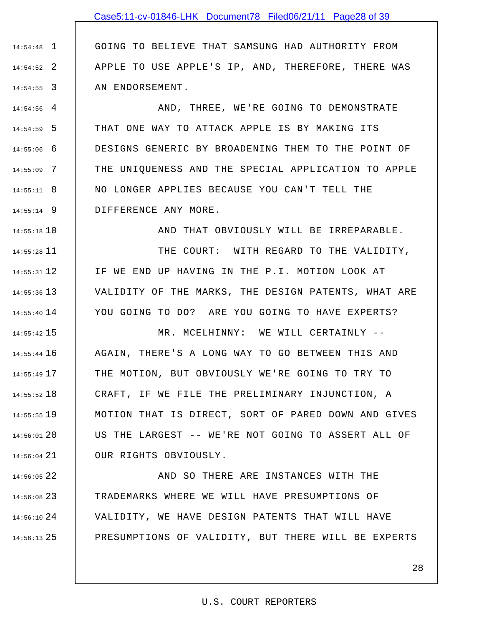1 14:54:48 2 14:54:52 3 14:54:55 GOING TO BELIEVE THAT SAMSUNG HAD AUTHORITY FROM APPLE TO USE APPLE'S IP, AND, THEREFORE, THERE WAS AN ENDORSEMENT.

4 14:54:56 5 14:54:59 6 14:55:06 7 14:55:09 8 14:55:11 9 14:55:14 AND, THREE, WE'RE GOING TO DEMONSTRATE THAT ONE WAY TO ATTACK APPLE IS BY MAKING ITS DESIGNS GENERIC BY BROADENING THEM TO THE POINT OF THE UNIQUENESS AND THE SPECIAL APPLICATION TO APPLE NO LONGER APPLIES BECAUSE YOU CAN'T TELL THE DIFFERENCE ANY MORE.

10 14:55:18

AND THAT OBVIOUSLY WILL BE IRREPARABLE.

11 14:55:28 12 14:55:31 13 14:55:36 14 14:55:40 THE COURT: WITH REGARD TO THE VALIDITY, IF WE END UP HAVING IN THE P.I. MOTION LOOK AT VALIDITY OF THE MARKS, THE DESIGN PATENTS, WHAT ARE YOU GOING TO DO? ARE YOU GOING TO HAVE EXPERTS?

15 14:55:42 16 14:55:44 17 14:55:49 18 14:55:52 19 14:55:55 20 14:56:01 21 14:56:04 MR. MCELHINNY: WE WILL CERTAINLY -- AGAIN, THERE'S A LONG WAY TO GO BETWEEN THIS AND THE MOTION, BUT OBVIOUSLY WE'RE GOING TO TRY TO CRAFT, IF WE FILE THE PRELIMINARY INJUNCTION, A MOTION THAT IS DIRECT, SORT OF PARED DOWN AND GIVES US THE LARGEST -- WE'RE NOT GOING TO ASSERT ALL OF OUR RIGHTS OBVIOUSLY.

22 14:56:05 23 14:56:08 24 14:56:10 25 14:56:13 AND SO THERE ARE INSTANCES WITH THE TRADEMARKS WHERE WE WILL HAVE PRESUMPTIONS OF VALIDITY, WE HAVE DESIGN PATENTS THAT WILL HAVE PRESUMPTIONS OF VALIDITY, BUT THERE WILL BE EXPERTS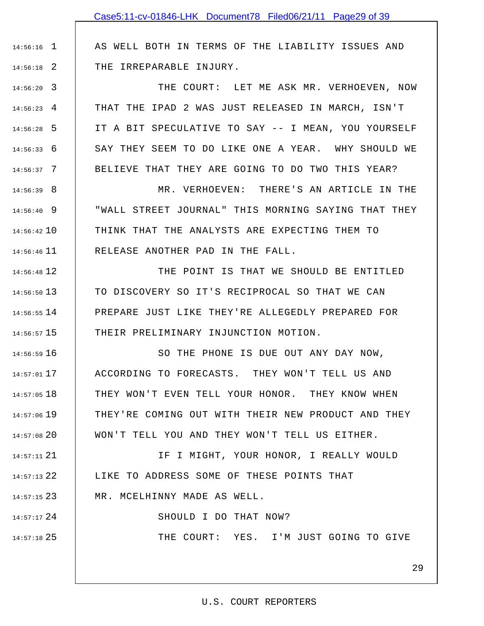AS WELL BOTH IN TERMS OF THE LIABILITY ISSUES AND THE IRREPARABLE INJURY.

1 14:56:16

2 14:56:18

24 14:57:17

25 14:57:18

3 14:56:20 4 14:56:23 5 14:56:28 6 14:56:33 7 14:56:37 THE COURT: LET ME ASK MR. VERHOEVEN, NOW THAT THE IPAD 2 WAS JUST RELEASED IN MARCH, ISN'T IT A BIT SPECULATIVE TO SAY -- I MEAN, YOU YOURSELF SAY THEY SEEM TO DO LIKE ONE A YEAR. WHY SHOULD WE BELIEVE THAT THEY ARE GOING TO DO TWO THIS YEAR?

8 14:56:39 9 14:56:40 10 14:56:42 11 14:56:46 MR. VERHOEVEN: THERE'S AN ARTICLE IN THE "WALL STREET JOURNAL" THIS MORNING SAYING THAT THEY THINK THAT THE ANALYSTS ARE EXPECTING THEM TO RELEASE ANOTHER PAD IN THE FALL.

12 14:56:48 13 14:56:50 14 14:56:55 15 14:56:57 THE POINT IS THAT WE SHOULD BE ENTITLED TO DISCOVERY SO IT'S RECIPROCAL SO THAT WE CAN PREPARE JUST LIKE THEY'RE ALLEGEDLY PREPARED FOR THEIR PRELIMINARY INJUNCTION MOTION.

16 14:56:59 17 14:57:01 18 14:57:05 19 14:57:06 20 14:57:08 SO THE PHONE IS DUE OUT ANY DAY NOW, ACCORDING TO FORECASTS. THEY WON'T TELL US AND THEY WON'T EVEN TELL YOUR HONOR. THEY KNOW WHEN THEY'RE COMING OUT WITH THEIR NEW PRODUCT AND THEY WON'T TELL YOU AND THEY WON'T TELL US EITHER.

21 14:57:11 22 14:57:13 23 14:57:15 IF I MIGHT, YOUR HONOR, I REALLY WOULD LIKE TO ADDRESS SOME OF THESE POINTS THAT MR. MCELHINNY MADE AS WELL.

SHOULD I DO THAT NOW?

THE COURT: YES. I'M JUST GOING TO GIVE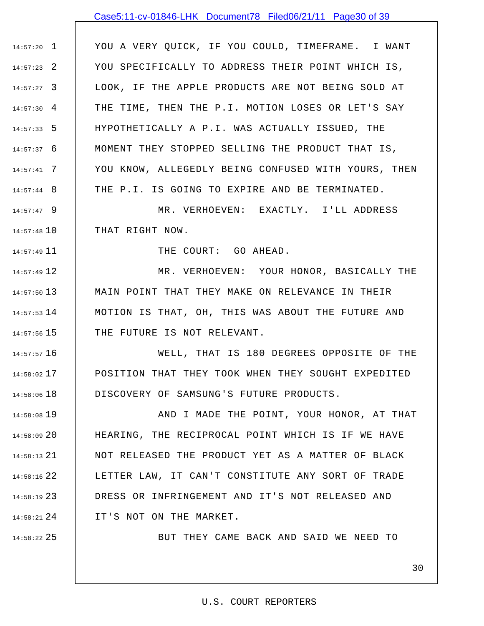## Case5:11-cv-01846-LHK Document78 Filed06/21/11 Page30 of 39

1 14:57:20 2 14:57:23 3 14:57:27  $14:57:30 \quad 4$ 5 14:57:33 6 14:57:37 7 14:57:41 8 14:57:44 YOU A VERY QUICK, IF YOU COULD, TIMEFRAME. I WANT YOU SPECIFICALLY TO ADDRESS THEIR POINT WHICH IS, LOOK, IF THE APPLE PRODUCTS ARE NOT BEING SOLD AT THE TIME, THEN THE P.I. MOTION LOSES OR LET'S SAY HYPOTHETICALLY A P.I. WAS ACTUALLY ISSUED, THE MOMENT THEY STOPPED SELLING THE PRODUCT THAT IS, YOU KNOW, ALLEGEDLY BEING CONFUSED WITH YOURS, THEN THE P.I. IS GOING TO EXPIRE AND BE TERMINATED.

9 14:57:47 10 14:57:48 MR. VERHOEVEN: EXACTLY. I'LL ADDRESS THAT RIGHT NOW.

THE COURT: GO AHEAD.

12 14:57:49 13 14:57:50  $14:57:53$   $14$  $14:57:56$  15 MR. VERHOEVEN: YOUR HONOR, BASICALLY THE MAIN POINT THAT THEY MAKE ON RELEVANCE IN THEIR MOTION IS THAT, OH, THIS WAS ABOUT THE FUTURE AND THE FUTURE IS NOT RELEVANT.

16 14:57:57 17 14:58:02 18 14:58:06 WELL, THAT IS 180 DEGREES OPPOSITE OF THE POSITION THAT THEY TOOK WHEN THEY SOUGHT EXPEDITED DISCOVERY OF SAMSUNG'S FUTURE PRODUCTS.

19 14:58:08 20 14:58:09 21 14:58:13 22 14:58:16 23 14:58:19 24 14:58:21 AND I MADE THE POINT, YOUR HONOR, AT THAT HEARING, THE RECIPROCAL POINT WHICH IS IF WE HAVE NOT RELEASED THE PRODUCT YET AS A MATTER OF BLACK LETTER LAW, IT CAN'T CONSTITUTE ANY SORT OF TRADE DRESS OR INFRINGEMENT AND IT'S NOT RELEASED AND IT'S NOT ON THE MARKET.

25 14:58:22

11 14:57:49

BUT THEY CAME BACK AND SAID WE NEED TO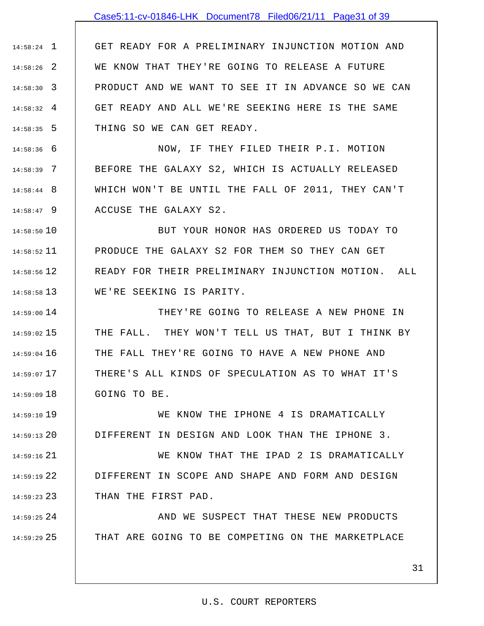## Case5:11-cv-01846-LHK Document78 Filed06/21/11 Page31 of 39

1 14:58:24 2 14:58:26 3 14:58:30 4 14:58:32 5 14:58:35 GET READY FOR A PRELIMINARY INJUNCTION MOTION AND WE KNOW THAT THEY'RE GOING TO RELEASE A FUTURE PRODUCT AND WE WANT TO SEE IT IN ADVANCE SO WE CAN GET READY AND ALL WE'RE SEEKING HERE IS THE SAME THING SO WE CAN GET READY.

6 14:58:36 7 14:58:39 8 14:58:44 9 14:58:47 NOW, IF THEY FILED THEIR P.I. MOTION BEFORE THE GALAXY S2, WHICH IS ACTUALLY RELEASED WHICH WON'T BE UNTIL THE FALL OF 2011, THEY CAN'T ACCUSE THE GALAXY S2.

10 14:58:50 11 14:58:52 12 14:58:56 13 14:58:58 BUT YOUR HONOR HAS ORDERED US TODAY TO PRODUCE THE GALAXY S2 FOR THEM SO THEY CAN GET READY FOR THEIR PRELIMINARY INJUNCTION MOTION. ALL WE'RE SEEKING IS PARITY.

14 14:59:00 15 14:59:02 16 14:59:04 17 14:59:07 18 14:59:09 THEY'RE GOING TO RELEASE A NEW PHONE IN THE FALL. THEY WON'T TELL US THAT, BUT I THINK BY THE FALL THEY'RE GOING TO HAVE A NEW PHONE AND THERE'S ALL KINDS OF SPECULATION AS TO WHAT IT'S GOING TO BE.

19 14:59:10 20 14:59:13 WE KNOW THE IPHONE 4 IS DRAMATICALLY DIFFERENT IN DESIGN AND LOOK THAN THE IPHONE 3.

21 14:59:16 22 14:59:19 23 14:59:23 WE KNOW THAT THE IPAD 2 IS DRAMATICALLY DIFFERENT IN SCOPE AND SHAPE AND FORM AND DESIGN THAN THE FIRST PAD.

24 14:59:25 25 14:59:29 AND WE SUSPECT THAT THESE NEW PRODUCTS THAT ARE GOING TO BE COMPETING ON THE MARKETPLACE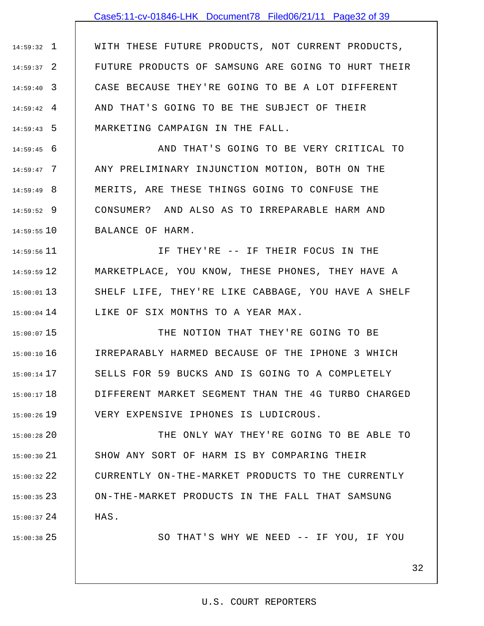## Case5:11-cv-01846-LHK Document78 Filed06/21/11 Page32 of 39

1 14:59:32 2 14:59:37 3 14:59:40 4 14:59:42 5 14:59:43 WITH THESE FUTURE PRODUCTS, NOT CURRENT PRODUCTS, FUTURE PRODUCTS OF SAMSUNG ARE GOING TO HURT THEIR CASE BECAUSE THEY'RE GOING TO BE A LOT DIFFERENT AND THAT'S GOING TO BE THE SUBJECT OF THEIR MARKETING CAMPAIGN IN THE FALL.

6 14:59:45 7 14:59:47 8 14:59:49 9 14:59:52 10 14:59:55 AND THAT'S GOING TO BE VERY CRITICAL TO ANY PRELIMINARY INJUNCTION MOTION, BOTH ON THE MERITS, ARE THESE THINGS GOING TO CONFUSE THE CONSUMER? AND ALSO AS TO IRREPARABLE HARM AND BALANCE OF HARM.

11 14:59:56 12 14:59:59 13 15:00:01  $15:00:04$  14 IF THEY'RE -- IF THEIR FOCUS IN THE MARKETPLACE, YOU KNOW, THESE PHONES, THEY HAVE A SHELF LIFE, THEY'RE LIKE CABBAGE, YOU HAVE A SHELF LIKE OF SIX MONTHS TO A YEAR MAX.

15 15:00:07 16 15:00:10 17 15:00:14 18 15:00:17 19 15:00:26 THE NOTION THAT THEY'RE GOING TO BE IRREPARABLY HARMED BECAUSE OF THE IPHONE 3 WHICH SELLS FOR 59 BUCKS AND IS GOING TO A COMPLETELY DIFFERENT MARKET SEGMENT THAN THE 4G TURBO CHARGED VERY EXPENSIVE IPHONES IS LUDICROUS.

20 15:00:28 21 15:00:30 22 15:00:32 23 15:00:35 24 15:00:37 THE ONLY WAY THEY'RE GOING TO BE ABLE TO SHOW ANY SORT OF HARM IS BY COMPARING THEIR CURRENTLY ON-THE-MARKET PRODUCTS TO THE CURRENTLY ON-THE-MARKET PRODUCTS IN THE FALL THAT SAMSUNG HAS.

25 15:00:38

SO THAT'S WHY WE NEED -- IF YOU, IF YOU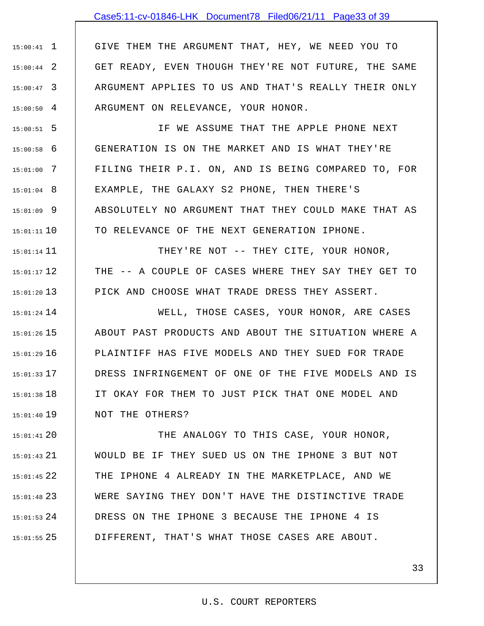## Case5:11-cv-01846-LHK Document78 Filed06/21/11 Page33 of 39

1 15:00:41 2 15:00:44 3 15:00:47  $15:00:50$  4 GIVE THEM THE ARGUMENT THAT, HEY, WE NEED YOU TO GET READY, EVEN THOUGH THEY'RE NOT FUTURE, THE SAME ARGUMENT APPLIES TO US AND THAT'S REALLY THEIR ONLY ARGUMENT ON RELEVANCE, YOUR HONOR.

5 15:00:51 6 15:00:58 7 15:01:00 8 15:01:04 9 15:01:09 10 15:01:11 IF WE ASSUME THAT THE APPLE PHONE NEXT GENERATION IS ON THE MARKET AND IS WHAT THEY'RE FILING THEIR P.I. ON, AND IS BEING COMPARED TO, FOR EXAMPLE, THE GALAXY S2 PHONE, THEN THERE'S ABSOLUTELY NO ARGUMENT THAT THEY COULD MAKE THAT AS TO RELEVANCE OF THE NEXT GENERATION IPHONE.

15:01:14 11 12 15:01:17 13 15:01:20 THEY'RE NOT -- THEY CITE, YOUR HONOR, THE -- A COUPLE OF CASES WHERE THEY SAY THEY GET TO PICK AND CHOOSE WHAT TRADE DRESS THEY ASSERT.

14 15:01:24 15 15:01:26 16 15:01:29 17 15:01:33 18 15:01:38 19 15:01:40 WELL, THOSE CASES, YOUR HONOR, ARE CASES ABOUT PAST PRODUCTS AND ABOUT THE SITUATION WHERE A PLAINTIFF HAS FIVE MODELS AND THEY SUED FOR TRADE DRESS INFRINGEMENT OF ONE OF THE FIVE MODELS AND IS IT OKAY FOR THEM TO JUST PICK THAT ONE MODEL AND NOT THE OTHERS?

20 15:01:41 21 15:01:43 22 15:01:45 23 15:01:48 24 15:01:53 25 15:01:55 THE ANALOGY TO THIS CASE, YOUR HONOR, WOULD BE IF THEY SUED US ON THE IPHONE 3 BUT NOT THE IPHONE 4 ALREADY IN THE MARKETPLACE, AND WE WERE SAYING THEY DON'T HAVE THE DISTINCTIVE TRADE DRESS ON THE IPHONE 3 BECAUSE THE IPHONE 4 IS DIFFERENT, THAT'S WHAT THOSE CASES ARE ABOUT.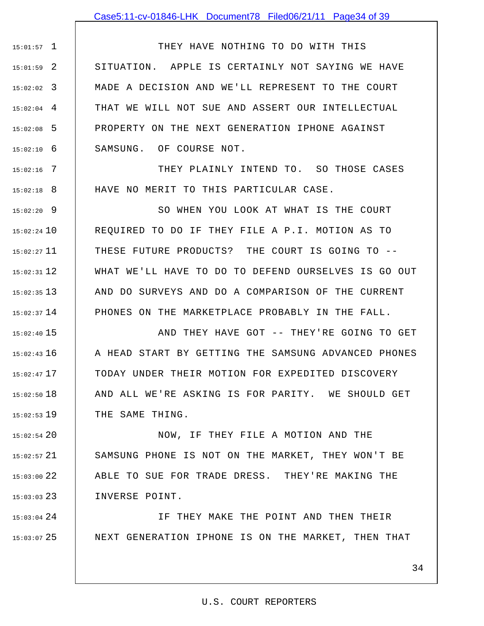1 15:01:57 2 15:01:59 3 15:02:02 4 15:02:04 5 15:02:08 6 15:02:10 THEY HAVE NOTHING TO DO WITH THIS SITUATION. APPLE IS CERTAINLY NOT SAYING WE HAVE MADE A DECISION AND WE'LL REPRESENT TO THE COURT THAT WE WILL NOT SUE AND ASSERT OUR INTELLECTUAL PROPERTY ON THE NEXT GENERATION IPHONE AGAINST SAMSUNG. OF COURSE NOT.

7 15:02:16 8 15:02:18 THEY PLAINLY INTEND TO. SO THOSE CASES HAVE NO MERIT TO THIS PARTICULAR CASE.

9 15:02:20 15:02:24 10 11 15:02:27 12 15:02:31 13 15:02:35  $15:02:37$  14 SO WHEN YOU LOOK AT WHAT IS THE COURT REQUIRED TO DO IF THEY FILE A P.I. MOTION AS TO THESE FUTURE PRODUCTS? THE COURT IS GOING TO -- WHAT WE'LL HAVE TO DO TO DEFEND OURSELVES IS GO OUT AND DO SURVEYS AND DO A COMPARISON OF THE CURRENT PHONES ON THE MARKETPLACE PROBABLY IN THE FALL.

15 15:02:40 16 15:02:43 17 15:02:47 18 15:02:50 19 15:02:53 AND THEY HAVE GOT -- THEY'RE GOING TO GET A HEAD START BY GETTING THE SAMSUNG ADVANCED PHONES TODAY UNDER THEIR MOTION FOR EXPEDITED DISCOVERY AND ALL WE'RE ASKING IS FOR PARITY. WE SHOULD GET THE SAME THING.

20 15:02:54 21 15:02:57 22 15:03:00 23 15:03:03 NOW, IF THEY FILE A MOTION AND THE SAMSUNG PHONE IS NOT ON THE MARKET, THEY WON'T BE ABLE TO SUE FOR TRADE DRESS. THEY'RE MAKING THE INVERSE POINT.

24 15:03:04 25 15:03:07 IF THEY MAKE THE POINT AND THEN THEIR NEXT GENERATION IPHONE IS ON THE MARKET, THEN THAT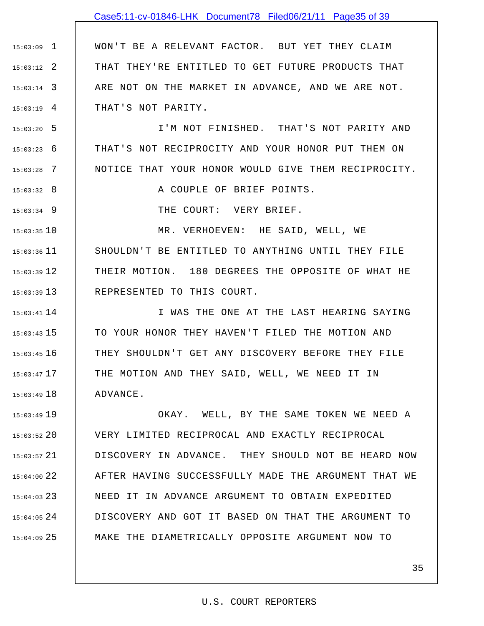## Case5:11-cv-01846-LHK Document78 Filed06/21/11 Page35 of 39

1 15:03:09 2 15:03:12 3 15:03:14 4 15:03:19 WON'T BE A RELEVANT FACTOR. BUT YET THEY CLAIM THAT THEY'RE ENTITLED TO GET FUTURE PRODUCTS THAT ARE NOT ON THE MARKET IN ADVANCE, AND WE ARE NOT. THAT'S NOT PARITY.

5 15:03:20 6 15:03:23 7 15:03:28 I'M NOT FINISHED. THAT'S NOT PARITY AND THAT'S NOT RECIPROCITY AND YOUR HONOR PUT THEM ON NOTICE THAT YOUR HONOR WOULD GIVE THEM RECIPROCITY.

A COUPLE OF BRIEF POINTS.

THE COURT: VERY BRIEF.

8 15:03:32

9 15:03:34

10 15:03:35  $15:03:36$  11 12 15:03:39 13 15:03:39 MR. VERHOEVEN: HE SAID, WELL, WE SHOULDN'T BE ENTITLED TO ANYTHING UNTIL THEY FILE THEIR MOTION. 180 DEGREES THE OPPOSITE OF WHAT HE REPRESENTED TO THIS COURT.

14 15:03:41 15 15:03:43 16 15:03:45 17 15:03:47 18 15:03:49 I WAS THE ONE AT THE LAST HEARING SAYING TO YOUR HONOR THEY HAVEN'T FILED THE MOTION AND THEY SHOULDN'T GET ANY DISCOVERY BEFORE THEY FILE THE MOTION AND THEY SAID, WELL, WE NEED IT IN ADVANCE.

19 15:03:49 20 15:03:52 21 15:03:57 22 15:04:00 23 15:04:03  $15:04:05$  24 25 15:04:09 OKAY. WELL, BY THE SAME TOKEN WE NEED A VERY LIMITED RECIPROCAL AND EXACTLY RECIPROCAL DISCOVERY IN ADVANCE. THEY SHOULD NOT BE HEARD NOW AFTER HAVING SUCCESSFULLY MADE THE ARGUMENT THAT WE NEED IT IN ADVANCE ARGUMENT TO OBTAIN EXPEDITED DISCOVERY AND GOT IT BASED ON THAT THE ARGUMENT TO MAKE THE DIAMETRICALLY OPPOSITE ARGUMENT NOW TO

### U.S. COURT REPORTERS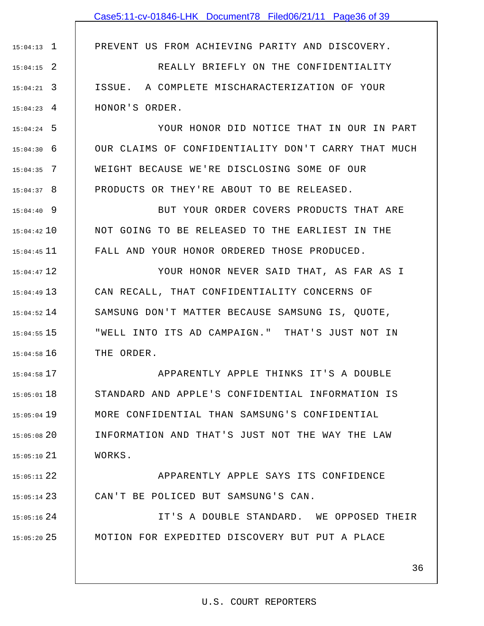PREVENT US FROM ACHIEVING PARITY AND DISCOVERY.

2 15:04:15 3 15:04:21 4 15:04:23 REALLY BRIEFLY ON THE CONFIDENTIALITY ISSUE. A COMPLETE MISCHARACTERIZATION OF YOUR HONOR'S ORDER.

1 15:04:13

5 15:04:24 6 15:04:30 7 15:04:35 8 15:04:37 YOUR HONOR DID NOTICE THAT IN OUR IN PART OUR CLAIMS OF CONFIDENTIALITY DON'T CARRY THAT MUCH WEIGHT BECAUSE WE'RE DISCLOSING SOME OF OUR PRODUCTS OR THEY'RE ABOUT TO BE RELEASED.

9 15:04:40 10 15:04:42  $15:04:45$  11 BUT YOUR ORDER COVERS PRODUCTS THAT ARE NOT GOING TO BE RELEASED TO THE EARLIEST IN THE FALL AND YOUR HONOR ORDERED THOSE PRODUCED.

12 15:04:47 13 15:04:49  $15:04:52$   $14$ 15 15:04:55 16 15:04:58 YOUR HONOR NEVER SAID THAT, AS FAR AS I CAN RECALL, THAT CONFIDENTIALITY CONCERNS OF SAMSUNG DON'T MATTER BECAUSE SAMSUNG IS, QUOTE, "WELL INTO ITS AD CAMPAIGN." THAT'S JUST NOT IN THE ORDER.

17 15:04:58 18 15:05:01 19 15:05:04 20 15:05:08 21 15:05:10 APPARENTLY APPLE THINKS IT'S A DOUBLE STANDARD AND APPLE'S CONFIDENTIAL INFORMATION IS MORE CONFIDENTIAL THAN SAMSUNG'S CONFIDENTIAL INFORMATION AND THAT'S JUST NOT THE WAY THE LAW WORKS.

22 15:05:11 23 15:05:14 APPARENTLY APPLE SAYS ITS CONFIDENCE CAN'T BE POLICED BUT SAMSUNG'S CAN.

 $15:05:16$  24 25 15:05:20 IT'S A DOUBLE STANDARD. WE OPPOSED THEIR MOTION FOR EXPEDITED DISCOVERY BUT PUT A PLACE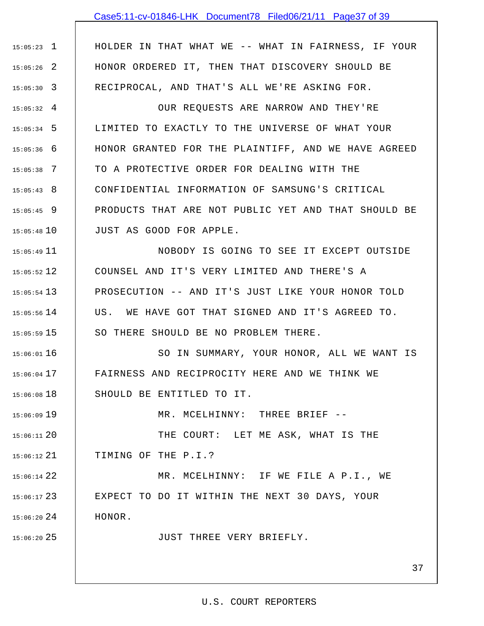## Case5:11-cv-01846-LHK Document78 Filed06/21/11 Page37 of 39

1 15:05:23 2 15:05:26 3 15:05:30 HOLDER IN THAT WHAT WE -- WHAT IN FAIRNESS, IF YOUR HONOR ORDERED IT, THEN THAT DISCOVERY SHOULD BE RECIPROCAL, AND THAT'S ALL WE'RE ASKING FOR.

 $15:05:32$  4 5 15:05:34 6 15:05:36 7 15:05:38 8 15:05:43 9 15:05:45 10 15:05:48 OUR REQUESTS ARE NARROW AND THEY'RE LIMITED TO EXACTLY TO THE UNIVERSE OF WHAT YOUR HONOR GRANTED FOR THE PLAINTIFF, AND WE HAVE AGREED TO A PROTECTIVE ORDER FOR DEALING WITH THE CONFIDENTIAL INFORMATION OF SAMSUNG'S CRITICAL PRODUCTS THAT ARE NOT PUBLIC YET AND THAT SHOULD BE JUST AS GOOD FOR APPLE.

 $15:05:49$   $11$ 12 15:05:52 13 15:05:54  $15:05:56$   $14$ 15 15:05:59 NOBODY IS GOING TO SEE IT EXCEPT OUTSIDE COUNSEL AND IT'S VERY LIMITED AND THERE'S A PROSECUTION -- AND IT'S JUST LIKE YOUR HONOR TOLD US. WE HAVE GOT THAT SIGNED AND IT'S AGREED TO. SO THERE SHOULD BE NO PROBLEM THERE.

16 15:06:01 17 15:06:04 18 15:06:08 SO IN SUMMARY, YOUR HONOR, ALL WE WANT IS FAIRNESS AND RECIPROCITY HERE AND WE THINK WE SHOULD BE ENTITLED TO IT.

MR. MCELHINNY: THREE BRIEF --

20 15:06:11 21 15:06:12 THE COURT: LET ME ASK, WHAT IS THE TIMING OF THE P.I.?

19 15:06:09

25 15:06:20

22 15:06:14 23 15:06:17  $15:06:20$  24 MR. MCELHINNY: IF WE FILE A P.I., WE EXPECT TO DO IT WITHIN THE NEXT 30 DAYS, YOUR HONOR.

JUST THREE VERY BRIEFLY.

37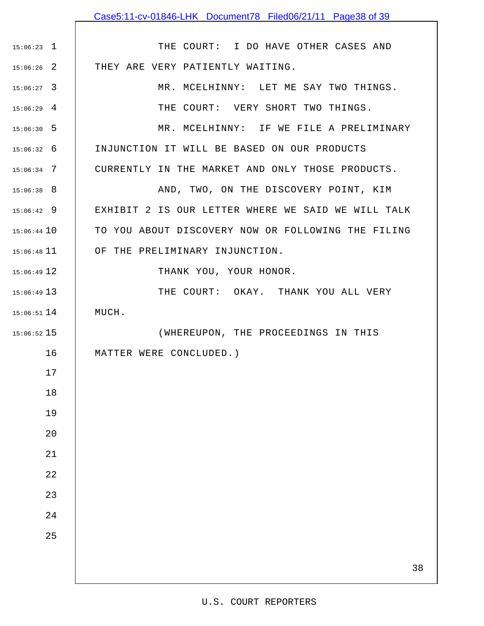|               | Case5:11-cv-01846-LHK Document78 Filed06/21/11 Page38 of 39 |
|---------------|-------------------------------------------------------------|
|               |                                                             |
| $15:06:23$ 1  | THE COURT: I DO HAVE OTHER CASES AND                        |
| $15:06:26$ 2  | THEY ARE VERY PATIENTLY WAITING.                            |
| $15:06:27$ 3  | MR. MCELHINNY: LET ME SAY TWO THINGS.                       |
| $15:06:29$ 4  | THE COURT: VERY SHORT TWO THINGS.                           |
| $15:06:30$ 5  | MR. MCELHINNY: IF WE FILE A PRELIMINARY                     |
| $15:06:32$ 6  | INJUNCTION IT WILL BE BASED ON OUR PRODUCTS                 |
| $15:06:34$ 7  | CURRENTLY IN THE MARKET AND ONLY THOSE PRODUCTS.            |
| $15:06:38$ 8  | AND, TWO, ON THE DISCOVERY POINT, KIM                       |
| $15:06:42$ 9  | EXHIBIT 2 IS OUR LETTER WHERE WE SAID WE WILL TALK          |
| $15:06:44$ 10 | TO YOU ABOUT DISCOVERY NOW OR FOLLOWING THE FILING          |
| $15:06:48$ 11 | OF THE PRELIMINARY INJUNCTION.                              |
| $15:06:49$ 12 | THANK YOU, YOUR HONOR.                                      |
| $15:06:49$ 13 | THE COURT: OKAY. THANK YOU ALL VERY                         |
| $15:06:51$ 14 | MUCH.                                                       |
| $15:06:52$ 15 | (WHEREUPON, THE PROCEEDINGS IN THIS                         |
| 16            | MATTER WERE CONCLUDED.)                                     |
| $17$          |                                                             |
| $1\,8$        |                                                             |
| 19            |                                                             |
| 20            |                                                             |
| 21            |                                                             |
| $2\sqrt{2}$   |                                                             |
| 23            |                                                             |
| 24            |                                                             |
| 25            |                                                             |
|               | 38                                                          |
|               |                                                             |